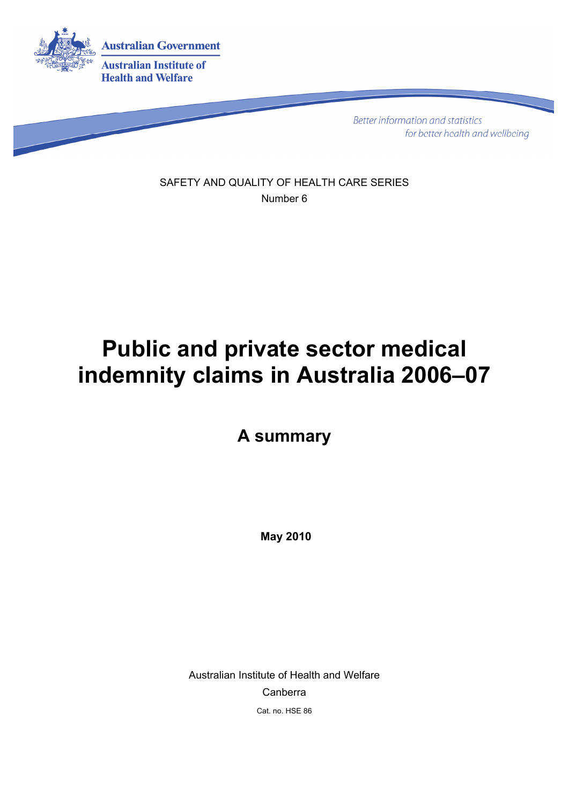

**Better information and statistics** for better health and wellbeing

SAFETY AND QUALITY OF HEALTH CARE SERIES Number 6

# **Public and private sector medical indemnity claims in Australia 2006–07**

**A summary** 

 **May 2010** 

Australian Institute of Health and Welfare Canberra Cat. no. HSE 86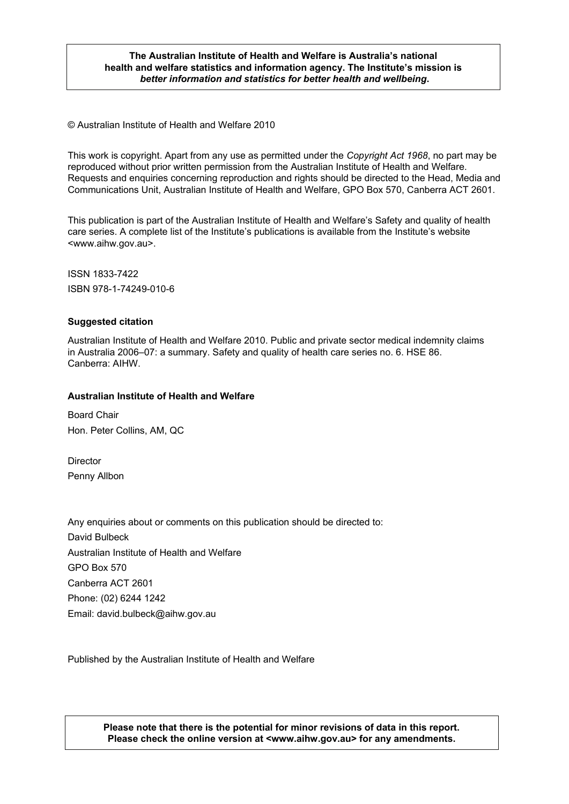#### **The Australian Institute of Health and Welfare is Australia's national health and welfare statistics and information agency. The Institute's mission is**  *better information and statistics for better health and wellbeing***.**

© Australian Institute of Health and Welfare 2010

This work is copyright. Apart from any use as permitted under the *Copyright Act 1968*, no part may be reproduced without prior written permission from the Australian Institute of Health and Welfare. Requests and enquiries concerning reproduction and rights should be directed to the Head, Media and Communications Unit, Australian Institute of Health and Welfare, GPO Box 570, Canberra ACT 2601.

This publication is part of the Australian Institute of Health and Welfare's Safety and quality of health care series. A complete list of the Institute's publications is available from the Institute's website <www.aihw.gov.au>.

ISSN 1833-7422 ISBN 978-1-74249-010-6

#### **Suggested citation**

Australian Institute of Health and Welfare 2010. Public and private sector medical indemnity claims in Australia 2006–07: a summary. Safety and quality of health care series no. 6. HSE 86. Canberra: AIHW.

#### **Australian Institute of Health and Welfare**

Board Chair Hon. Peter Collins, AM, QC

**Director** Penny Allbon

Any enquiries about or comments on this publication should be directed to: David Bulbeck Australian Institute of Health and Welfare GPO Box 570 Canberra ACT 2601 Phone: (02) 6244 1242 Email: david.bulbeck@aihw.gov.au

Published by the Australian Institute of Health and Welfare

**Please note that there is the potential for minor revisions of data in this report. Please check the online version at <www.aihw.gov.au> for any amendments.**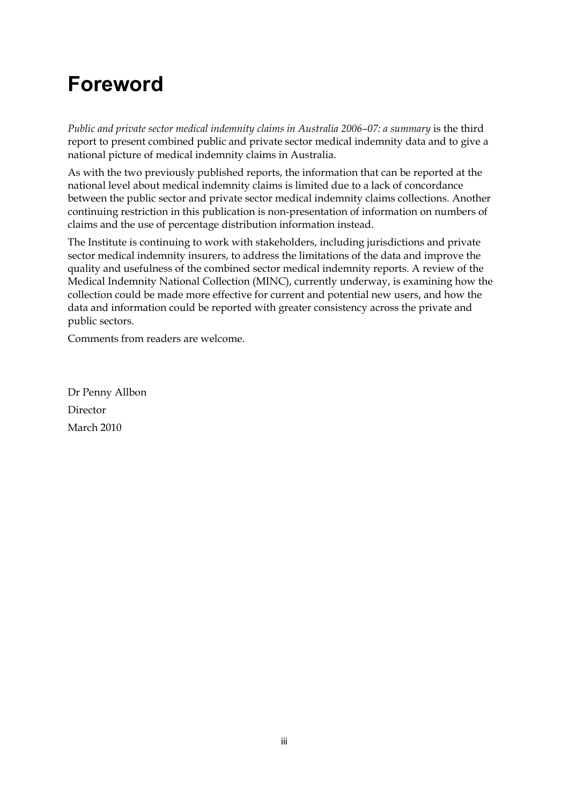## **Foreword**

*Public and private sector medical indemnity claims in Australia 2006–07: a summary* is the third report to present combined public and private sector medical indemnity data and to give a national picture of medical indemnity claims in Australia.

As with the two previously published reports, the information that can be reported at the national level about medical indemnity claims is limited due to a lack of concordance between the public sector and private sector medical indemnity claims collections. Another continuing restriction in this publication is non-presentation of information on numbers of claims and the use of percentage distribution information instead.

The Institute is continuing to work with stakeholders, including jurisdictions and private sector medical indemnity insurers, to address the limitations of the data and improve the quality and usefulness of the combined sector medical indemnity reports. A review of the Medical Indemnity National Collection (MINC), currently underway, is examining how the collection could be made more effective for current and potential new users, and how the data and information could be reported with greater consistency across the private and public sectors.

Comments from readers are welcome.

Dr Penny Allbon Director March 2010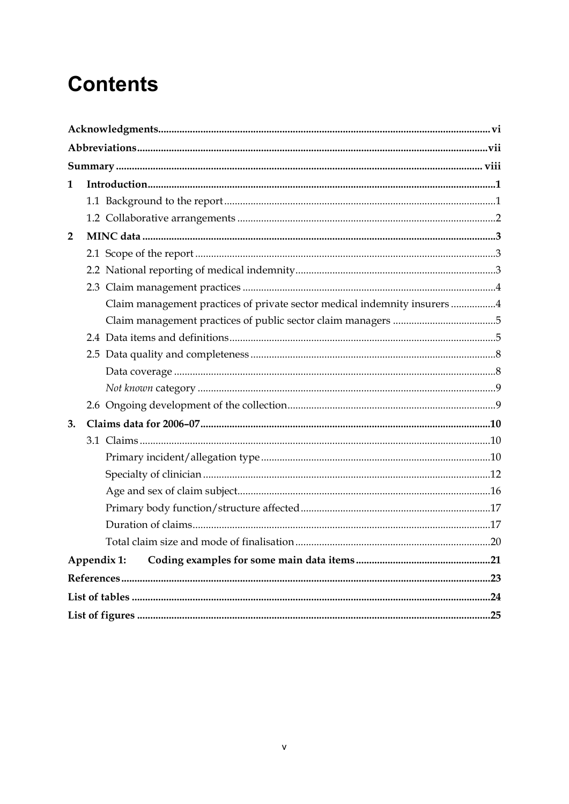# **Contents**

| $\mathbf{1}$   |                                                                           |  |
|----------------|---------------------------------------------------------------------------|--|
|                |                                                                           |  |
|                |                                                                           |  |
| $\overline{2}$ |                                                                           |  |
|                |                                                                           |  |
|                |                                                                           |  |
|                |                                                                           |  |
|                | Claim management practices of private sector medical indemnity insurers 4 |  |
|                |                                                                           |  |
|                |                                                                           |  |
|                |                                                                           |  |
|                |                                                                           |  |
|                |                                                                           |  |
|                |                                                                           |  |
| 3.             |                                                                           |  |
|                |                                                                           |  |
|                |                                                                           |  |
|                |                                                                           |  |
|                |                                                                           |  |
|                |                                                                           |  |
|                |                                                                           |  |
|                |                                                                           |  |
|                | Appendix 1:                                                               |  |
|                |                                                                           |  |
|                |                                                                           |  |
|                |                                                                           |  |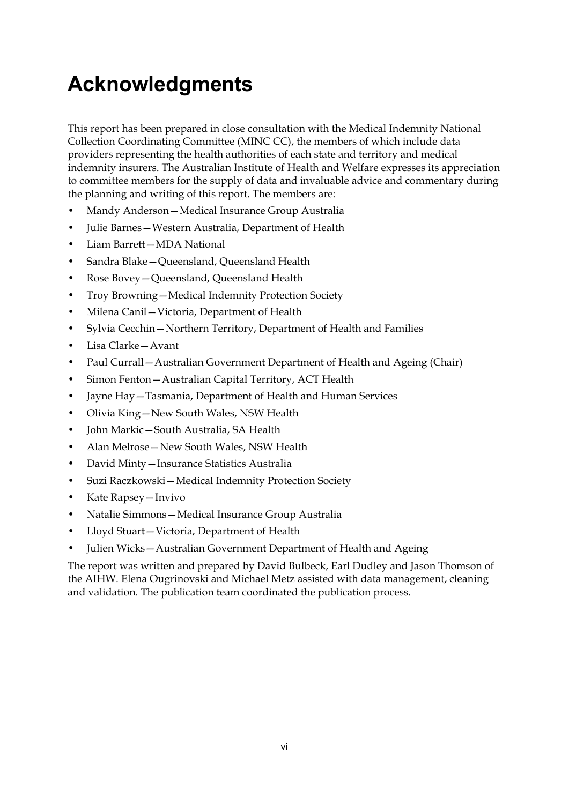# <span id="page-5-0"></span>**Acknowledgments**

This report has been prepared in close consultation with the Medical Indemnity National Collection Coordinating Committee (MINC CC), the members of which include data providers representing the health authorities of each state and territory and medical indemnity insurers. The Australian Institute of Health and Welfare expresses its appreciation to committee members for the supply of data and invaluable advice and commentary during the planning and writing of this report. The members are:

- Mandy Anderson—Medical Insurance Group Australia
- Julie Barnes—Western Australia, Department of Health
- Liam Barrett—MDA National
- Sandra Blake—Queensland, Queensland Health
- Rose Bovey—Queensland, Queensland Health
- Troy Browning—Medical Indemnity Protection Society
- Milena Canil—Victoria, Department of Health
- Sylvia Cecchin—Northern Territory, Department of Health and Families
- Lisa Clarke—Avant
- Paul Currall Australian Government Department of Health and Ageing (Chair)
- Simon Fenton Australian Capital Territory, ACT Health
- Jayne Hay—Tasmania, Department of Health and Human Services
- Olivia King—New South Wales, NSW Health
- John Markic—South Australia, SA Health
- Alan Melrose—New South Wales, NSW Health
- David Minty—Insurance Statistics Australia
- Suzi Raczkowski—Medical Indemnity Protection Society
- Kate Rapsey—Invivo
- Natalie Simmons—Medical Insurance Group Australia
- Lloyd Stuart—Victoria, Department of Health
- Julien Wicks—Australian Government Department of Health and Ageing

The report was written and prepared by David Bulbeck, Earl Dudley and Jason Thomson of the AIHW. Elena Ougrinovski and Michael Metz assisted with data management, cleaning and validation. The publication team coordinated the publication process.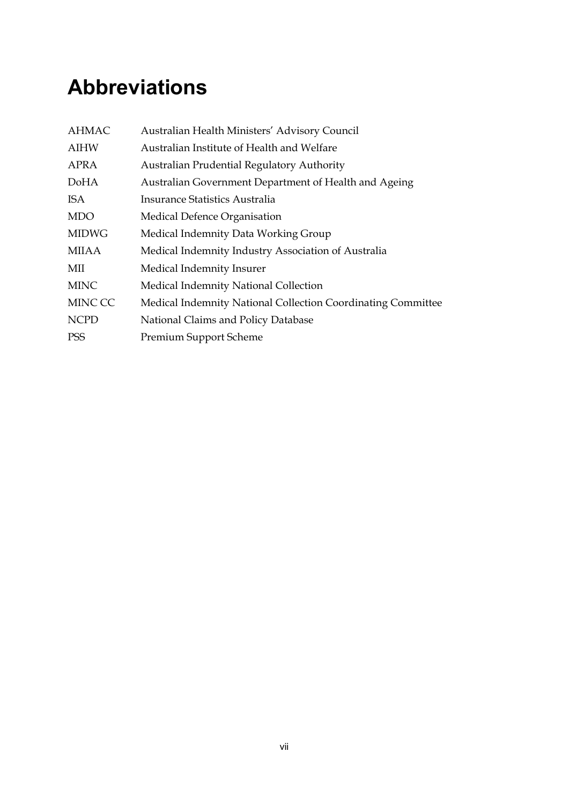# <span id="page-6-0"></span>**Abbreviations**

| <b>AHMAC</b> | Australian Health Ministers' Advisory Council                |
|--------------|--------------------------------------------------------------|
| <b>AIHW</b>  | Australian Institute of Health and Welfare                   |
| APRA         | <b>Australian Prudential Regulatory Authority</b>            |
| DoHA         | Australian Government Department of Health and Ageing        |
| ISA          | Insurance Statistics Australia                               |
| <b>MDO</b>   | Medical Defence Organisation                                 |
| <b>MIDWG</b> | Medical Indemnity Data Working Group                         |
| MIIAA        | Medical Indemnity Industry Association of Australia          |
| MII          | Medical Indemnity Insurer                                    |
| <b>MINC</b>  | Medical Indemnity National Collection                        |
| MINC CC      | Medical Indemnity National Collection Coordinating Committee |
| <b>NCPD</b>  | National Claims and Policy Database                          |
| <b>PSS</b>   | <b>Premium Support Scheme</b>                                |
|              |                                                              |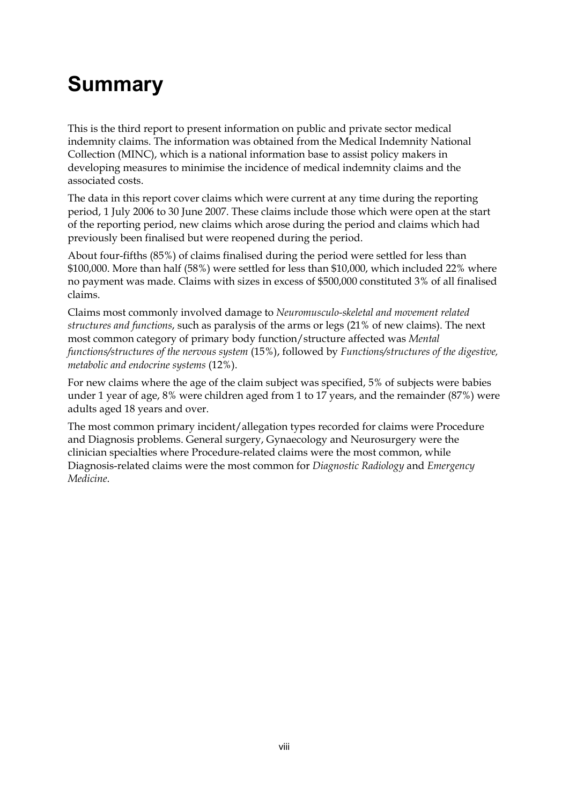# <span id="page-7-0"></span>**Summary**

This is the third report to present information on public and private sector medical indemnity claims. The information was obtained from the Medical Indemnity National Collection (MINC), which is a national information base to assist policy makers in developing measures to minimise the incidence of medical indemnity claims and the associated costs.

The data in this report cover claims which were current at any time during the reporting period, 1 July 2006 to 30 June 2007. These claims include those which were open at the start of the reporting period, new claims which arose during the period and claims which had previously been finalised but were reopened during the period.

About four-fifths (85%) of claims finalised during the period were settled for less than \$100,000. More than half (58%) were settled for less than \$10,000, which included 22% where no payment was made. Claims with sizes in excess of \$500,000 constituted 3% of all finalised claims.

Claims most commonly involved damage to *Neuromusculo-skeletal and movement related structures and functions*, such as paralysis of the arms or legs (21% of new claims). The next most common category of primary body function/structure affected was *Mental functions/structures of the nervous system* (15%), followed by *Functions/structures of the digestive, metabolic and endocrine systems* (12%).

For new claims where the age of the claim subject was specified, 5% of subjects were babies under 1 year of age, 8% were children aged from 1 to 17 years, and the remainder (87%) were adults aged 18 years and over.

The most common primary incident/allegation types recorded for claims were Procedure and Diagnosis problems. General surgery, Gynaecology and Neurosurgery were the clinician specialties where Procedure-related claims were the most common, while Diagnosis-related claims were the most common for *Diagnostic Radiology* and *Emergency Medicine*.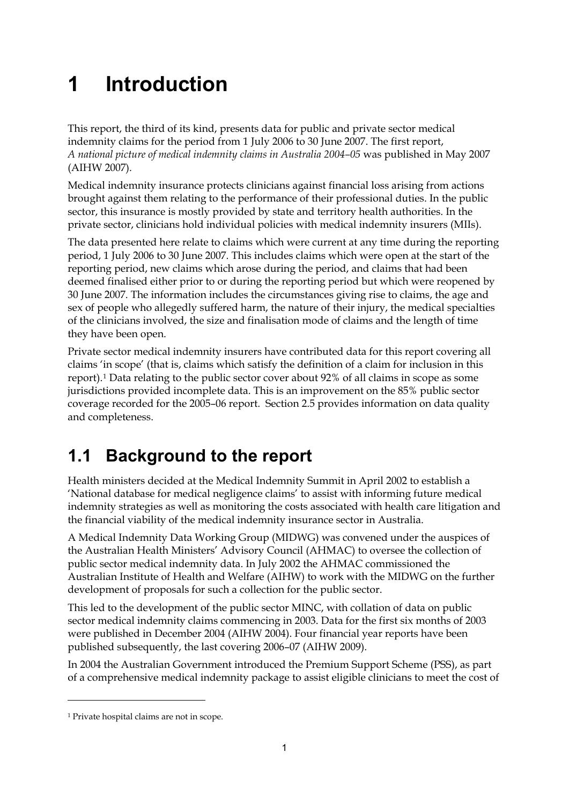# <span id="page-8-0"></span>**1 Introduction**

This report, the third of its kind, presents data for public and private sector medical indemnity claims for the period from 1 July 2006 to 30 June 2007. The first report, *A national picture of medical indemnity claims in Australia 2004–05* was published in May 2007 (AIHW 2007).

Medical indemnity insurance protects clinicians against financial loss arising from actions brought against them relating to the performance of their professional duties. In the public sector, this insurance is mostly provided by state and territory health authorities. In the private sector, clinicians hold individual policies with medical indemnity insurers (MIIs).

The data presented here relate to claims which were current at any time during the reporting period, 1 July 2006 to 30 June 2007. This includes claims which were open at the start of the reporting period, new claims which arose during the period, and claims that had been deemed finalised either prior to or during the reporting period but which were reopened by 30 June 2007. The information includes the circumstances giving rise to claims, the age and sex of people who allegedly suffered harm, the nature of their injury, the medical specialties of the clinicians involved, the size and finalisation mode of claims and the length of time they have been open.

Private sector medical indemnity insurers have contributed data for this report covering all claims 'in scope' (that is, claims which satisfy the definition of a claim for inclusion in this report).[1](#page-8-2) Data relating to the public sector cover about 92% of all claims in scope as some jurisdictions provided incomplete data. This is an improvement on the 85% public sector coverage recorded for the 2005–06 report. Section 2.5 provides information on data quality and completeness.

## <span id="page-8-1"></span>**1.1 Background to the report**

Health ministers decided at the Medical Indemnity Summit in April 2002 to establish a 'National database for medical negligence claims' to assist with informing future medical indemnity strategies as well as monitoring the costs associated with health care litigation and the financial viability of the medical indemnity insurance sector in Australia.

A Medical Indemnity Data Working Group (MIDWG) was convened under the auspices of the Australian Health Ministers' Advisory Council (AHMAC) to oversee the collection of public sector medical indemnity data. In July 2002 the AHMAC commissioned the Australian Institute of Health and Welfare (AIHW) to work with the MIDWG on the further development of proposals for such a collection for the public sector.

This led to the development of the public sector MINC, with collation of data on public sector medical indemnity claims commencing in 2003. Data for the first six months of 2003 were published in December 2004 (AIHW 2004). Four financial year reports have been published subsequently, the last covering 2006–07 (AIHW 2009).

In 2004 the Australian Government introduced the Premium Support Scheme (PSS), as part of a comprehensive medical indemnity package to assist eligible clinicians to meet the cost of

<u>.</u>

<span id="page-8-2"></span><sup>1</sup> Private hospital claims are not in scope.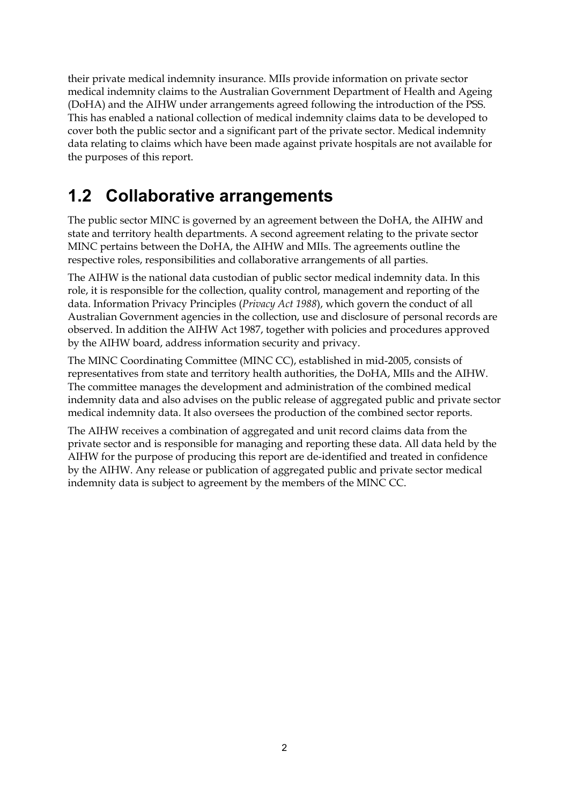their private medical indemnity insurance. MIIs provide information on private sector medical indemnity claims to the Australian Government Department of Health and Ageing (DoHA) and the AIHW under arrangements agreed following the introduction of the PSS. This has enabled a national collection of medical indemnity claims data to be developed to cover both the public sector and a significant part of the private sector. Medical indemnity data relating to claims which have been made against private hospitals are not available for the purposes of this report.

## <span id="page-9-0"></span>**1.2 Collaborative arrangements**

The public sector MINC is governed by an agreement between the DoHA, the AIHW and state and territory health departments. A second agreement relating to the private sector MINC pertains between the DoHA, the AIHW and MIIs. The agreements outline the respective roles, responsibilities and collaborative arrangements of all parties.

The AIHW is the national data custodian of public sector medical indemnity data. In this role, it is responsible for the collection, quality control, management and reporting of the data. Information Privacy Principles (*Privacy Act 1988*), which govern the conduct of all Australian Government agencies in the collection, use and disclosure of personal records are observed. In addition the AIHW Act 1987, together with policies and procedures approved by the AIHW board, address information security and privacy.

The MINC Coordinating Committee (MINC CC), established in mid-2005, consists of representatives from state and territory health authorities, the DoHA, MIIs and the AIHW. The committee manages the development and administration of the combined medical indemnity data and also advises on the public release of aggregated public and private sector medical indemnity data. It also oversees the production of the combined sector reports.

The AIHW receives a combination of aggregated and unit record claims data from the private sector and is responsible for managing and reporting these data. All data held by the AIHW for the purpose of producing this report are de-identified and treated in confidence by the AIHW. Any release or publication of aggregated public and private sector medical indemnity data is subject to agreement by the members of the MINC CC.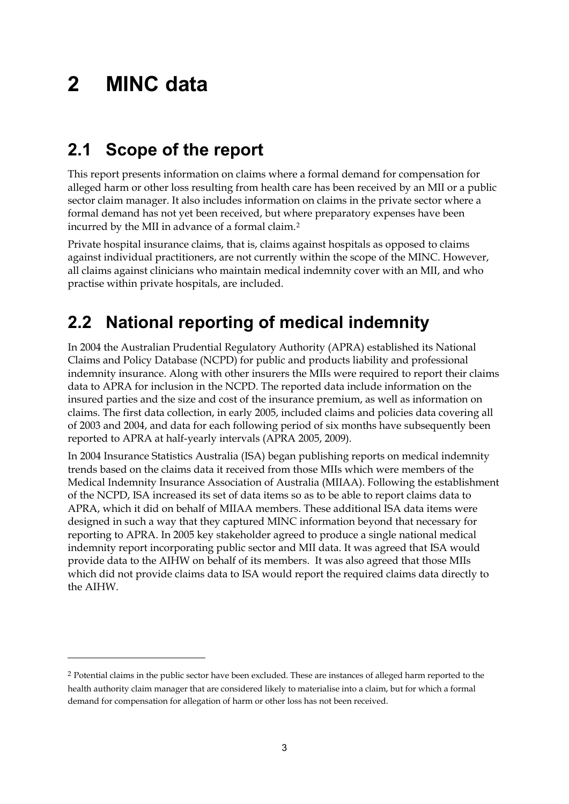# <span id="page-10-0"></span>**2 MINC data**

<u>.</u>

## <span id="page-10-1"></span>**2.1 Scope of the report**

This report presents information on claims where a formal demand for compensation for alleged harm or other loss resulting from health care has been received by an MII or a public sector claim manager. It also includes information on claims in the private sector where a formal demand has not yet been received, but where preparatory expenses have been incurred by the MII in advance of a formal claim.[2](#page-10-3)

Private hospital insurance claims, that is, claims against hospitals as opposed to claims against individual practitioners, are not currently within the scope of the MINC. However, all claims against clinicians who maintain medical indemnity cover with an MII, and who practise within private hospitals, are included.

## <span id="page-10-2"></span>**2.2 National reporting of medical indemnity**

In 2004 the Australian Prudential Regulatory Authority (APRA) established its National Claims and Policy Database (NCPD) for public and products liability and professional indemnity insurance. Along with other insurers the MIIs were required to report their claims data to APRA for inclusion in the NCPD. The reported data include information on the insured parties and the size and cost of the insurance premium, as well as information on claims. The first data collection, in early 2005, included claims and policies data covering all of 2003 and 2004, and data for each following period of six months have subsequently been reported to APRA at half-yearly intervals (APRA 2005, 2009).

In 2004 Insurance Statistics Australia (ISA) began publishing reports on medical indemnity trends based on the claims data it received from those MIIs which were members of the Medical Indemnity Insurance Association of Australia (MIIAA). Following the establishment of the NCPD, ISA increased its set of data items so as to be able to report claims data to APRA, which it did on behalf of MIIAA members. These additional ISA data items were designed in such a way that they captured MINC information beyond that necessary for reporting to APRA. In 2005 key stakeholder agreed to produce a single national medical indemnity report incorporating public sector and MII data. It was agreed that ISA would provide data to the AIHW on behalf of its members. It was also agreed that those MIIs which did not provide claims data to ISA would report the required claims data directly to the AIHW.

<span id="page-10-3"></span><sup>2</sup> Potential claims in the public sector have been excluded. These are instances of alleged harm reported to the health authority claim manager that are considered likely to materialise into a claim, but for which a formal demand for compensation for allegation of harm or other loss has not been received.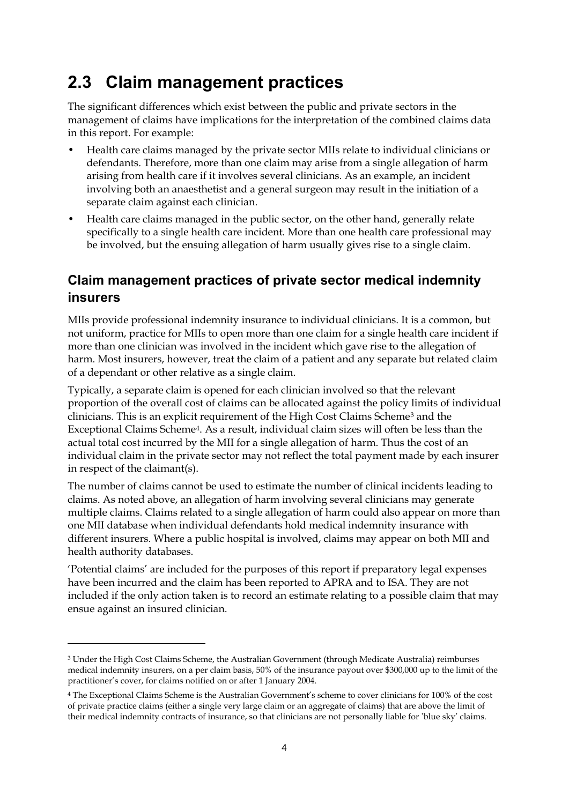### <span id="page-11-0"></span>**2.3 Claim management practices**

The significant differences which exist between the public and private sectors in the management of claims have implications for the interpretation of the combined claims data in this report. For example:

- Health care claims managed by the private sector MIIs relate to individual clinicians or defendants. Therefore, more than one claim may arise from a single allegation of harm arising from health care if it involves several clinicians. As an example, an incident involving both an anaesthetist and a general surgeon may result in the initiation of a separate claim against each clinician.
- Health care claims managed in the public sector, on the other hand, generally relate specifically to a single health care incident. More than one health care professional may be involved, but the ensuing allegation of harm usually gives rise to a single claim.

### <span id="page-11-1"></span>**Claim management practices of private sector medical indemnity insurers**

MIIs provide professional indemnity insurance to individual clinicians. It is a common, but not uniform, practice for MIIs to open more than one claim for a single health care incident if more than one clinician was involved in the incident which gave rise to the allegation of harm. Most insurers, however, treat the claim of a patient and any separate but related claim of a dependant or other relative as a single claim.

Typically, a separate claim is opened for each clinician involved so that the relevant proportion of the overall cost of claims can be allocated against the policy limits of individual clinicians. This is an explicit requirement of the High Cost Claims Scheme[3](#page-11-2) and the Exceptional Claims Scheme[4.](#page-11-3) As a result, individual claim sizes will often be less than the actual total cost incurred by the MII for a single allegation of harm. Thus the cost of an individual claim in the private sector may not reflect the total payment made by each insurer in respect of the claimant(s).

The number of claims cannot be used to estimate the number of clinical incidents leading to claims. As noted above, an allegation of harm involving several clinicians may generate multiple claims. Claims related to a single allegation of harm could also appear on more than one MII database when individual defendants hold medical indemnity insurance with different insurers. Where a public hospital is involved, claims may appear on both MII and health authority databases.

'Potential claims' are included for the purposes of this report if preparatory legal expenses have been incurred and the claim has been reported to APRA and to ISA. They are not included if the only action taken is to record an estimate relating to a possible claim that may ensue against an insured clinician.

-

<span id="page-11-2"></span><sup>3</sup> Under the High Cost Claims Scheme, the Australian Government (through Medicate Australia) reimburses medical indemnity insurers, on a per claim basis, 50% of the insurance payout over \$300,000 up to the limit of the practitioner's cover, for claims notified on or after 1 January 2004.

<span id="page-11-3"></span><sup>4</sup> The Exceptional Claims Scheme is the Australian Government's scheme to cover clinicians for 100% of the cost of private practice claims (either a single very large claim or an aggregate of claims) that are above the limit of their medical indemnity contracts of insurance, so that clinicians are not personally liable for 'blue sky' claims.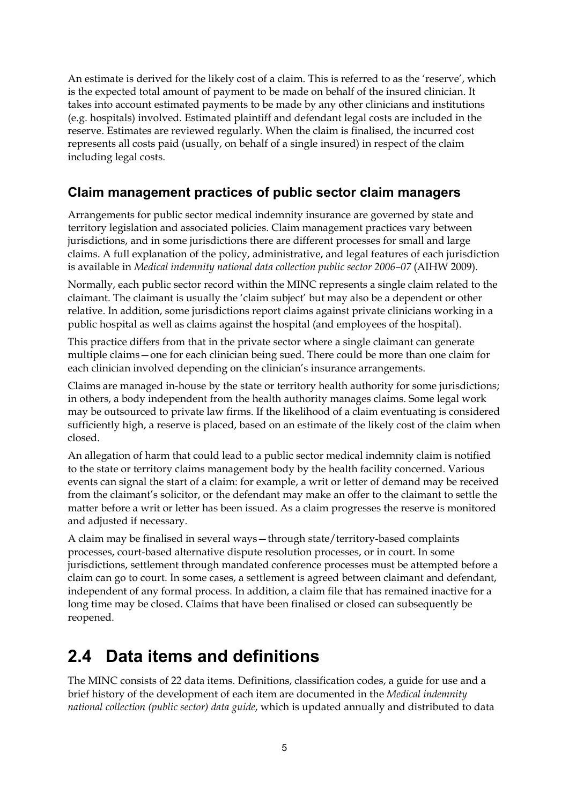An estimate is derived for the likely cost of a claim. This is referred to as the 'reserve', which is the expected total amount of payment to be made on behalf of the insured clinician. It takes into account estimated payments to be made by any other clinicians and institutions (e.g. hospitals) involved. Estimated plaintiff and defendant legal costs are included in the reserve. Estimates are reviewed regularly. When the claim is finalised, the incurred cost represents all costs paid (usually, on behalf of a single insured) in respect of the claim including legal costs.

### <span id="page-12-0"></span>**Claim management practices of public sector claim managers**

Arrangements for public sector medical indemnity insurance are governed by state and territory legislation and associated policies. Claim management practices vary between jurisdictions, and in some jurisdictions there are different processes for small and large claims. A full explanation of the policy, administrative, and legal features of each jurisdiction is available in *Medical indemnity national data collection public sector 2006–07* (AIHW 2009).

Normally, each public sector record within the MINC represents a single claim related to the claimant. The claimant is usually the 'claim subject' but may also be a dependent or other relative. In addition, some jurisdictions report claims against private clinicians working in a public hospital as well as claims against the hospital (and employees of the hospital).

This practice differs from that in the private sector where a single claimant can generate multiple claims—one for each clinician being sued. There could be more than one claim for each clinician involved depending on the clinician's insurance arrangements.

Claims are managed in-house by the state or territory health authority for some jurisdictions; in others, a body independent from the health authority manages claims. Some legal work may be outsourced to private law firms. If the likelihood of a claim eventuating is considered sufficiently high, a reserve is placed, based on an estimate of the likely cost of the claim when closed.

An allegation of harm that could lead to a public sector medical indemnity claim is notified to the state or territory claims management body by the health facility concerned. Various events can signal the start of a claim: for example, a writ or letter of demand may be received from the claimant's solicitor, or the defendant may make an offer to the claimant to settle the matter before a writ or letter has been issued. As a claim progresses the reserve is monitored and adjusted if necessary.

A claim may be finalised in several ways—through state/territory-based complaints processes, court-based alternative dispute resolution processes, or in court. In some jurisdictions, settlement through mandated conference processes must be attempted before a claim can go to court. In some cases, a settlement is agreed between claimant and defendant, independent of any formal process. In addition, a claim file that has remained inactive for a long time may be closed. Claims that have been finalised or closed can subsequently be reopened.

### <span id="page-12-1"></span>**2.4 Data items and definitions**

The MINC consists of 22 data items. Definitions, classification codes, a guide for use and a brief history of the development of each item are documented in the *Medical indemnity national collection (public sector) data guide*, which is updated annually and distributed to data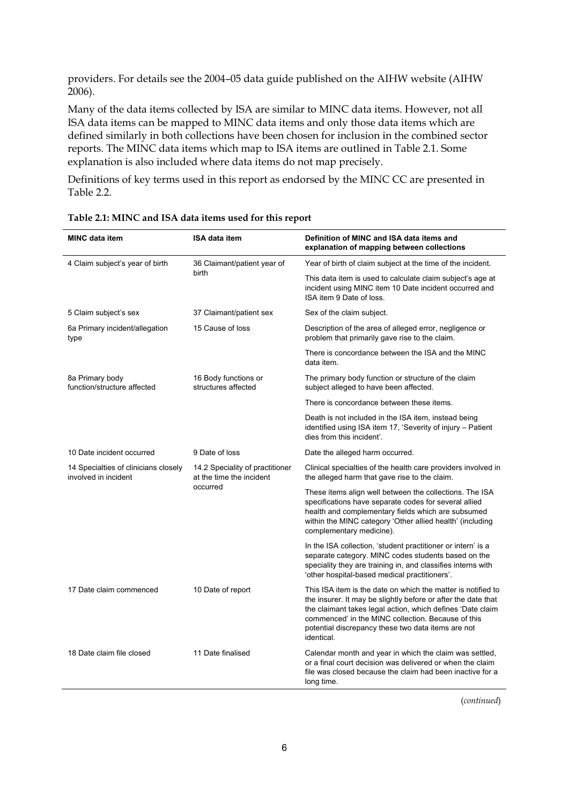providers. For details see the 2004–05 data guide published on the AIHW website (AIHW 2006).

Many of the data items collected by ISA are similar to MINC data items. However, not all ISA data items can be mapped to MINC data items and only those data items which are defined similarly in both collections have been chosen for inclusion in the combined sector reports. The MINC data items which map to ISA items are outlined in Table 2.1. Some explanation is also included where data items do not map precisely.

Definitions of key terms used in this report as endorsed by the MINC CC are presented in Table 2.2.

| <b>MINC data item</b>                                        | <b>ISA data item</b>                                        | Definition of MINC and ISA data items and<br>explanation of mapping between collections                                                                                                                                                                                                                               |
|--------------------------------------------------------------|-------------------------------------------------------------|-----------------------------------------------------------------------------------------------------------------------------------------------------------------------------------------------------------------------------------------------------------------------------------------------------------------------|
| 4 Claim subject's year of birth                              | 36 Claimant/patient year of                                 | Year of birth of claim subject at the time of the incident.                                                                                                                                                                                                                                                           |
|                                                              | birth                                                       | This data item is used to calculate claim subject's age at<br>incident using MINC item 10 Date incident occurred and<br>ISA item 9 Date of loss.                                                                                                                                                                      |
| 5 Claim subject's sex                                        | 37 Claimant/patient sex                                     | Sex of the claim subject.                                                                                                                                                                                                                                                                                             |
| 6a Primary incident/allegation<br>type                       | 15 Cause of loss                                            | Description of the area of alleged error, negligence or<br>problem that primarily gave rise to the claim.                                                                                                                                                                                                             |
|                                                              |                                                             | There is concordance between the ISA and the MINC<br>data item.                                                                                                                                                                                                                                                       |
| 8a Primary body<br>function/structure affected               | 16 Body functions or<br>structures affected                 | The primary body function or structure of the claim<br>subject alleged to have been affected.                                                                                                                                                                                                                         |
|                                                              |                                                             | There is concordance between these items.                                                                                                                                                                                                                                                                             |
|                                                              |                                                             | Death is not included in the ISA item, instead being<br>identified using ISA item 17, 'Severity of injury - Patient<br>dies from this incident'.                                                                                                                                                                      |
| 10 Date incident occurred                                    | 9 Date of loss                                              | Date the alleged harm occurred.                                                                                                                                                                                                                                                                                       |
| 14 Specialties of clinicians closely<br>involved in incident | 14.2 Speciality of practitioner<br>at the time the incident | Clinical specialties of the health care providers involved in<br>the alleged harm that gave rise to the claim.                                                                                                                                                                                                        |
|                                                              | occurred                                                    | These items align well between the collections. The ISA<br>specifications have separate codes for several allied<br>health and complementary fields which are subsumed<br>within the MINC category 'Other allied health' (including<br>complementary medicine).                                                       |
|                                                              |                                                             | In the ISA collection, 'student practitioner or intern' is a<br>separate category. MINC codes students based on the<br>speciality they are training in, and classifies interns with<br>'other hospital-based medical practitioners'.                                                                                  |
| 17 Date claim commenced                                      | 10 Date of report                                           | This ISA item is the date on which the matter is notified to<br>the insurer. It may be slightly before or after the date that<br>the claimant takes legal action, which defines 'Date claim<br>commenced' in the MINC collection. Because of this<br>potential discrepancy these two data items are not<br>identical. |
| 18 Date claim file closed                                    | 11 Date finalised                                           | Calendar month and year in which the claim was settled,<br>or a final court decision was delivered or when the claim<br>file was closed because the claim had been inactive for a<br>long time.                                                                                                                       |
|                                                              |                                                             |                                                                                                                                                                                                                                                                                                                       |

<span id="page-13-0"></span>

| Table 2.1: MINC and ISA data items used for this report |  |  |
|---------------------------------------------------------|--|--|
|---------------------------------------------------------|--|--|

(*continued*)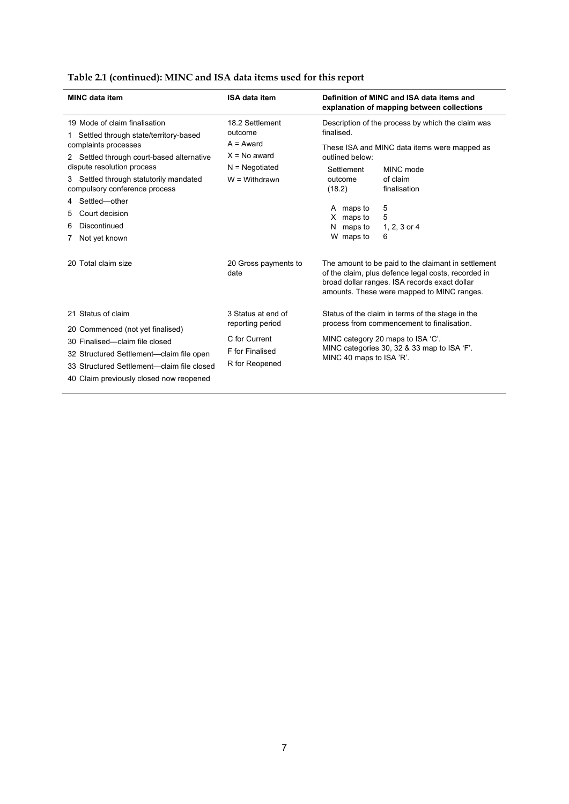| Table 2.1 (continued): MINC and ISA data items used for this report |  |
|---------------------------------------------------------------------|--|
|---------------------------------------------------------------------|--|

| <b>MINC data item</b>                                                                                                                                                                                                                                                       | <b>ISA data item</b>                                                                                | Definition of MINC and ISA data items and<br>explanation of mapping between collections                                                                                                                        |
|-----------------------------------------------------------------------------------------------------------------------------------------------------------------------------------------------------------------------------------------------------------------------------|-----------------------------------------------------------------------------------------------------|----------------------------------------------------------------------------------------------------------------------------------------------------------------------------------------------------------------|
| 19 Mode of claim finalisation<br>Settled through state/territory-based<br>1<br>complaints processes<br>Settled through court-based alternative<br>dispute resolution process<br>Settled through statutorily mandated<br>compulsory conference process<br>Settled-other<br>4 | 18.2 Settlement<br>outcome<br>$A = Award$<br>$X = No$ award<br>$N = Negotiated$<br>$W = With drawn$ | Description of the process by which the claim was<br>finalised.<br>These ISA and MINC data items were mapped as<br>outlined below:<br>MINC mode<br>Settlement<br>of claim<br>outcome<br>(18.2)<br>finalisation |
| Court decision<br>Discontinued<br>6<br>Not yet known                                                                                                                                                                                                                        |                                                                                                     | 5<br>A maps to<br>X maps to<br>5<br>maps to<br>1, 2, 3 or 4<br>N<br>6<br>W maps to                                                                                                                             |
| 20 Total claim size                                                                                                                                                                                                                                                         | 20 Gross payments to<br>date                                                                        | The amount to be paid to the claimant in settlement<br>of the claim, plus defence legal costs, recorded in<br>broad dollar ranges. ISA records exact dollar<br>amounts. These were mapped to MINC ranges.      |
| 21 Status of claim<br>20 Commenced (not yet finalised)<br>30 Finalised-claim file closed<br>32 Structured Settlement—claim file open<br>33 Structured Settlement—claim file closed<br>40 Claim previously closed now reopened                                               | 3 Status at end of<br>reporting period<br>C for Current<br>F for Finalised<br>R for Reopened        | Status of the claim in terms of the stage in the<br>process from commencement to finalisation.<br>MINC category 20 maps to ISA 'C'.<br>MINC categories 30, 32 & 33 map to ISA 'F'.<br>MINC 40 maps to ISA 'R'. |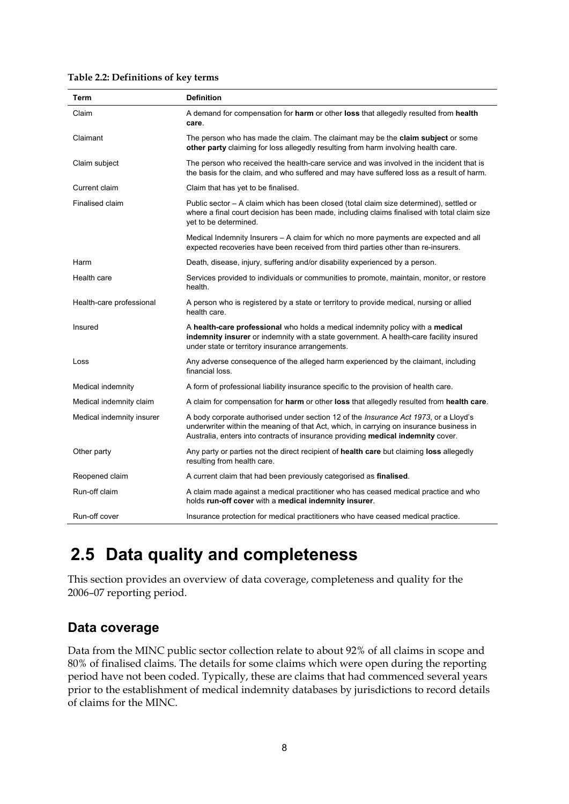<span id="page-15-2"></span>

| Term                      | <b>Definition</b>                                                                                                                                                                                                                                                           |
|---------------------------|-----------------------------------------------------------------------------------------------------------------------------------------------------------------------------------------------------------------------------------------------------------------------------|
| Claim                     | A demand for compensation for harm or other loss that allegedly resulted from health<br>care.                                                                                                                                                                               |
| Claimant                  | The person who has made the claim. The claimant may be the claim subject or some<br>other party claiming for loss allegedly resulting from harm involving health care.                                                                                                      |
| Claim subject             | The person who received the health-care service and was involved in the incident that is<br>the basis for the claim, and who suffered and may have suffered loss as a result of harm.                                                                                       |
| Current claim             | Claim that has yet to be finalised.                                                                                                                                                                                                                                         |
| Finalised claim           | Public sector – A claim which has been closed (total claim size determined), settled or<br>where a final court decision has been made, including claims finalised with total claim size<br>yet to be determined.                                                            |
|                           | Medical Indemnity Insurers – A claim for which no more payments are expected and all<br>expected recoveries have been received from third parties other than re-insurers.                                                                                                   |
| Harm                      | Death, disease, injury, suffering and/or disability experienced by a person.                                                                                                                                                                                                |
| Health care               | Services provided to individuals or communities to promote, maintain, monitor, or restore<br>health.                                                                                                                                                                        |
| Health-care professional  | A person who is registered by a state or territory to provide medical, nursing or allied<br>health care.                                                                                                                                                                    |
| Insured                   | A health-care professional who holds a medical indemnity policy with a medical<br>indemnity insurer or indemnity with a state government. A health-care facility insured<br>under state or territory insurance arrangements.                                                |
| Loss                      | Any adverse consequence of the alleged harm experienced by the claimant, including<br>financial loss.                                                                                                                                                                       |
| Medical indemnity         | A form of professional liability insurance specific to the provision of health care.                                                                                                                                                                                        |
| Medical indemnity claim   | A claim for compensation for harm or other loss that allegedly resulted from health care.                                                                                                                                                                                   |
| Medical indemnity insurer | A body corporate authorised under section 12 of the <i>Insurance Act 1973</i> , or a Lloyd's<br>underwriter within the meaning of that Act, which, in carrying on insurance business in<br>Australia, enters into contracts of insurance providing medical indemnity cover. |
| Other party               | Any party or parties not the direct recipient of health care but claiming loss allegedly<br>resulting from health care.                                                                                                                                                     |
| Reopened claim            | A current claim that had been previously categorised as finalised.                                                                                                                                                                                                          |
| Run-off claim             | A claim made against a medical practitioner who has ceased medical practice and who<br>holds run-off cover with a medical indemnity insurer.                                                                                                                                |
| Run-off cover             | Insurance protection for medical practitioners who have ceased medical practice.                                                                                                                                                                                            |

### <span id="page-15-0"></span>**2.5 Data quality and completeness**

This section provides an overview of data coverage, completeness and quality for the 2006–07 reporting period.

### <span id="page-15-1"></span>**Data coverage**

Data from the MINC public sector collection relate to about 92% of all claims in scope and 80% of finalised claims. The details for some claims which were open during the reporting period have not been coded. Typically, these are claims that had commenced several years prior to the establishment of medical indemnity databases by jurisdictions to record details of claims for the MINC.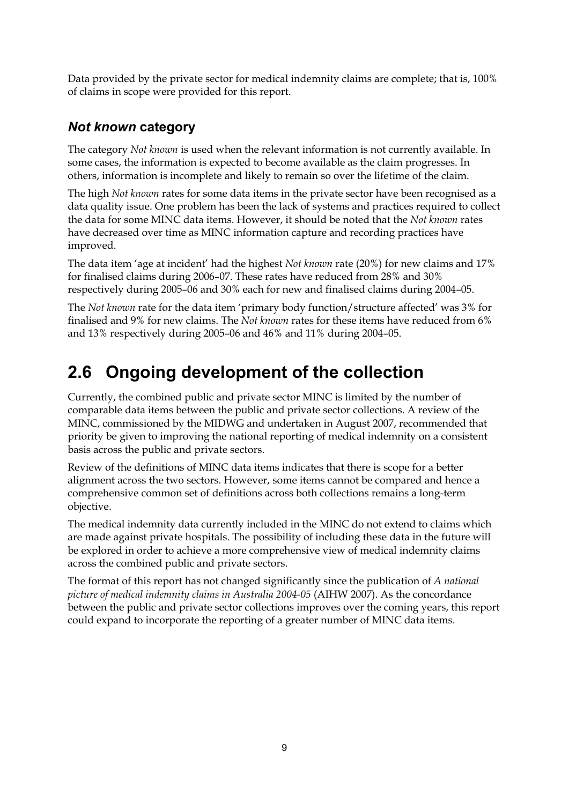Data provided by the private sector for medical indemnity claims are complete; that is, 100% of claims in scope were provided for this report.

### <span id="page-16-0"></span>*Not known* **category**

The category *Not known* is used when the relevant information is not currently available. In some cases, the information is expected to become available as the claim progresses. In others, information is incomplete and likely to remain so over the lifetime of the claim.

The high *Not known* rates for some data items in the private sector have been recognised as a data quality issue. One problem has been the lack of systems and practices required to collect the data for some MINC data items. However, it should be noted that the *Not known* rates have decreased over time as MINC information capture and recording practices have improved.

The data item 'age at incident' had the highest *Not known* rate (20%) for new claims and 17% for finalised claims during 2006–07. These rates have reduced from 28% and 30% respectively during 2005–06 and 30% each for new and finalised claims during 2004–05.

The *Not known* rate for the data item 'primary body function/structure affected' was 3% for finalised and 9% for new claims. The *Not known* rates for these items have reduced from 6% and 13% respectively during 2005–06 and 46% and 11% during 2004–05.

## <span id="page-16-1"></span>**2.6 Ongoing development of the collection**

Currently, the combined public and private sector MINC is limited by the number of comparable data items between the public and private sector collections. A review of the MINC, commissioned by the MIDWG and undertaken in August 2007, recommended that priority be given to improving the national reporting of medical indemnity on a consistent basis across the public and private sectors.

Review of the definitions of MINC data items indicates that there is scope for a better alignment across the two sectors. However, some items cannot be compared and hence a comprehensive common set of definitions across both collections remains a long-term objective.

The medical indemnity data currently included in the MINC do not extend to claims which are made against private hospitals. The possibility of including these data in the future will be explored in order to achieve a more comprehensive view of medical indemnity claims across the combined public and private sectors.

The format of this report has not changed significantly since the publication of *A national picture of medical indemnity claims in Australia 2004-05* (AIHW 2007). As the concordance between the public and private sector collections improves over the coming years, this report could expand to incorporate the reporting of a greater number of MINC data items.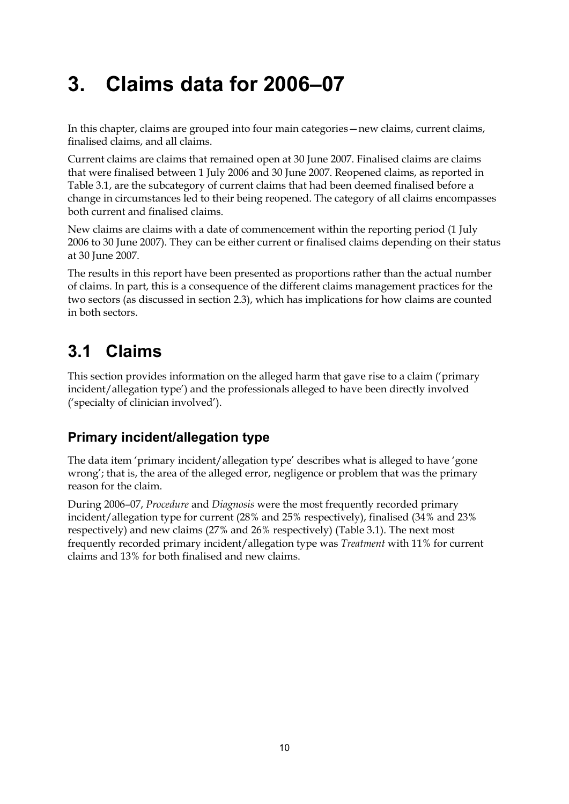# <span id="page-17-0"></span>**3. Claims data for 2006–07**

In this chapter, claims are grouped into four main categories—new claims, current claims, finalised claims, and all claims.

Current claims are claims that remained open at 30 June 2007. Finalised claims are claims that were finalised between 1 July 2006 and 30 June 2007. Reopened claims, as reported in Table 3.1, are the subcategory of current claims that had been deemed finalised before a change in circumstances led to their being reopened. The category of all claims encompasses both current and finalised claims.

New claims are claims with a date of commencement within the reporting period (1 July 2006 to 30 June 2007). They can be either current or finalised claims depending on their status at 30 June 2007.

The results in this report have been presented as proportions rather than the actual number of claims. In part, this is a consequence of the different claims management practices for the two sectors (as discussed in section 2.3), which has implications for how claims are counted in both sectors.

## <span id="page-17-1"></span>**3.1 Claims**

This section provides information on the alleged harm that gave rise to a claim ('primary incident/allegation type') and the professionals alleged to have been directly involved ('specialty of clinician involved').

### <span id="page-17-2"></span>**Primary incident/allegation type**

The data item 'primary incident/allegation type' describes what is alleged to have 'gone wrong'; that is, the area of the alleged error, negligence or problem that was the primary reason for the claim.

During 2006–07, *Procedure* and *Diagnosis* were the most frequently recorded primary incident/allegation type for current (28% and 25% respectively), finalised (34% and 23% respectively) and new claims (27% and 26% respectively) (Table 3.1). The next most frequently recorded primary incident/allegation type was *Treatment* with 11% for current claims and 13% for both finalised and new claims.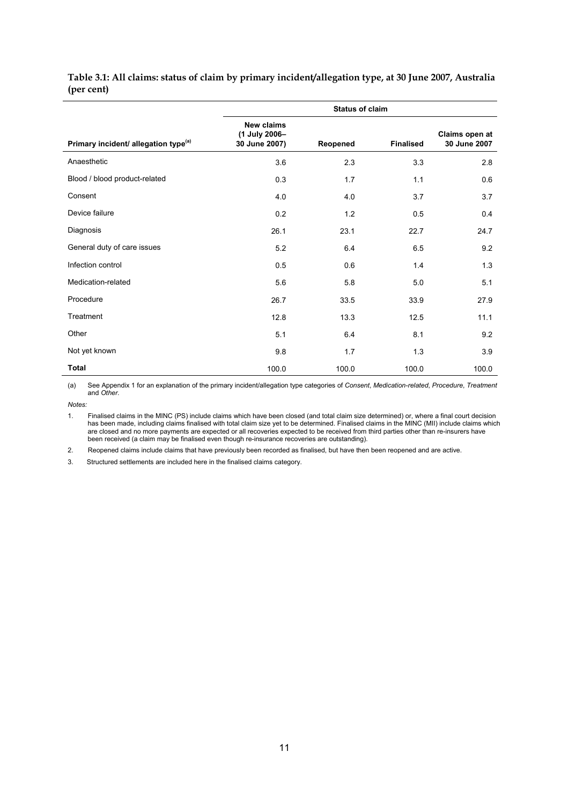#### <span id="page-18-0"></span>**Table 3.1: All claims: status of claim by primary incident/allegation type, at 30 June 2007, Australia (per cent)**

|                                                  |                                                     |          | <b>Status of claim</b> |                                |
|--------------------------------------------------|-----------------------------------------------------|----------|------------------------|--------------------------------|
| Primary incident/ allegation type <sup>(a)</sup> | <b>New claims</b><br>(1 July 2006-<br>30 June 2007) | Reopened | <b>Finalised</b>       | Claims open at<br>30 June 2007 |
| Anaesthetic                                      | 3.6                                                 | 2.3      | 3.3                    | 2.8                            |
| Blood / blood product-related                    | 0.3                                                 | 1.7      | 1.1                    | 0.6                            |
| Consent                                          | 4.0                                                 | 4.0      | 3.7                    | 3.7                            |
| Device failure                                   | 0.2                                                 | 1.2      | 0.5                    | 0.4                            |
| Diagnosis                                        | 26.1                                                | 23.1     | 22.7                   | 24.7                           |
| General duty of care issues                      | 5.2                                                 | 6.4      | 6.5                    | 9.2                            |
| Infection control                                | 0.5                                                 | 0.6      | 1.4                    | 1.3                            |
| Medication-related                               | 5.6                                                 | 5.8      | 5.0                    | 5.1                            |
| Procedure                                        | 26.7                                                | 33.5     | 33.9                   | 27.9                           |
| Treatment                                        | 12.8                                                | 13.3     | 12.5                   | 11.1                           |
| Other                                            | 5.1                                                 | 6.4      | 8.1                    | 9.2                            |
| Not yet known                                    | 9.8                                                 | 1.7      | 1.3                    | 3.9                            |
| Total                                            | 100.0                                               | 100.0    | 100.0                  | 100.0                          |

(a) See Appendix 1 for an explanation of the primary incident/allegation type categories of *Consent*, *Medication-related*, *Procedure*, *Treatment* and *Other*.

*Notes:* 

2. Reopened claims include claims that have previously been recorded as finalised, but have then been reopened and are active.

3. Structured settlements are included here in the finalised claims category.

<sup>1.</sup> Finalised claims in the MINC (PS) include claims which have been closed (and total claim size determined) or, where a final court decision has been made, including claims finalised with total claim size yet to be determined. Finalised claims in the MINC (MII) include claims which are closed and no more payments are expected or all recoveries expected to be received from third parties other than re-insurers have been received (a claim may be finalised even though re-insurance recoveries are outstanding).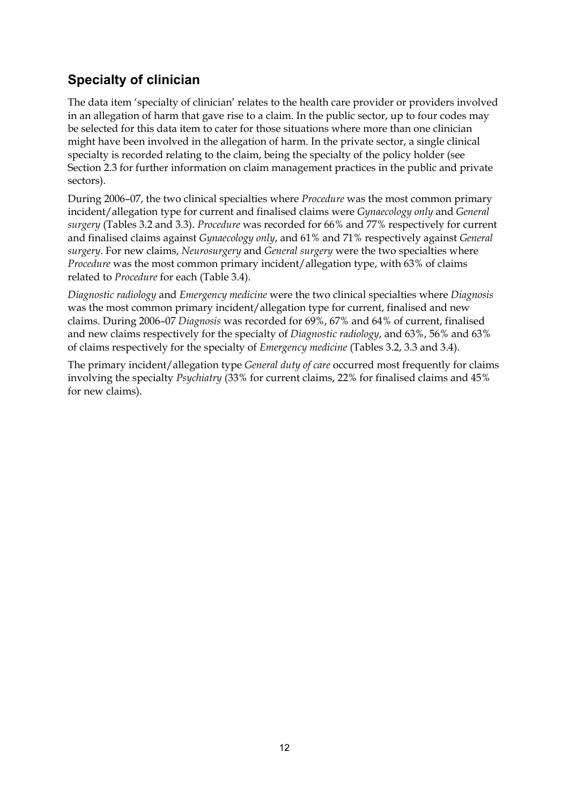### <span id="page-19-0"></span>**Specialty of clinician**

The data item 'specialty of clinician' relates to the health care provider or providers involved in an allegation of harm that gave rise to a claim. In the public sector, up to four codes may be selected for this data item to cater for those situations where more than one clinician might have been involved in the allegation of harm. In the private sector, a single clinical specialty is recorded relating to the claim, being the specialty of the policy holder (see Section 2.3 for further information on claim management practices in the public and private sectors).

During 2006–07, the two clinical specialties where *Procedure* was the most common primary incident/allegation type for current and finalised claims were *Gynaecology only* and *General surgery* (Tables 3.2 and 3.3). *Procedure* was recorded for 66% and 77% respectively for current and finalised claims against *Gynaecology only*, and 61% and 71% respectively against *General surgery*. For new claims, *Neurosurgery* and *General surgery* were the two specialties where *Procedure* was the most common primary incident/allegation type, with 63% of claims related to *Procedure* for each (Table 3.4).

*Diagnostic radiology* and *Emergency medicine* were the two clinical specialties where *Diagnosis* was the most common primary incident/allegation type for current, finalised and new claims. During 2006–07 *Diagnosis* was recorded for 69%, 67% and 64% of current, finalised and new claims respectively for the specialty of *Diagnostic radiology*, and 63%, 56% and 63% of claims respectively for the specialty of *Emergency medicine* (Tables 3.2, 3.3 and 3.4).

The primary incident/allegation type *General duty of care* occurred most frequently for claims involving the specialty *Psychiatry* (33% for current claims, 22% for finalised claims and 45% for new claims).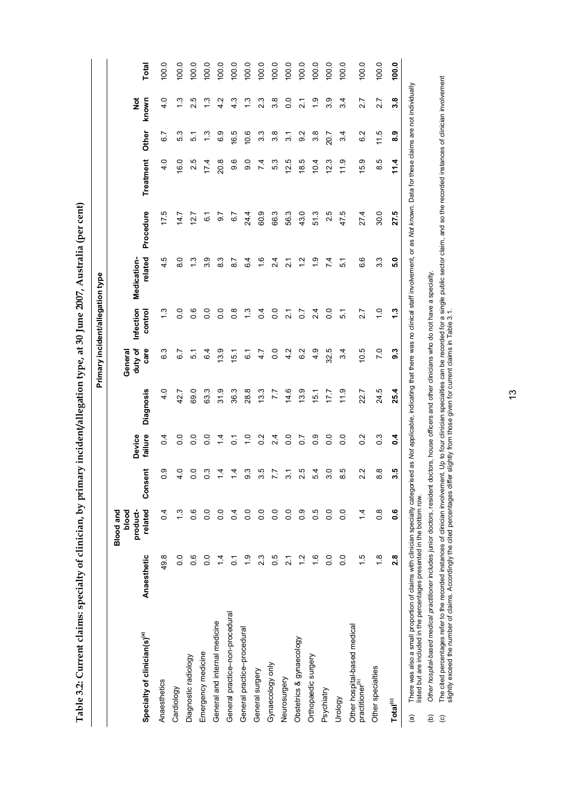Table 3.2: Current claims: specialty of clinician, by primary incident/allegation type, at 30 June 2007, Australia (per cent) **Table 3.2: Current claims: specialty of clinician, by primary incident/allegation type, at 30 June 2007, Australia (per cent)** 

<span id="page-20-0"></span>

|                                                                                                                                                                                                                                                                                                                     |                  |                                                  |                    |                      |                  |                            | Primary incident/allegation type |                        |           |                   |                |                  |       |
|---------------------------------------------------------------------------------------------------------------------------------------------------------------------------------------------------------------------------------------------------------------------------------------------------------------------|------------------|--------------------------------------------------|--------------------|----------------------|------------------|----------------------------|----------------------------------|------------------------|-----------|-------------------|----------------|------------------|-------|
| Specialty of clinician(s) <sup>(a)</sup>                                                                                                                                                                                                                                                                            | Anaesthetic      | product-<br>related<br><b>Blood and</b><br>blood | Consent            | failure<br>Device    | <b>Diagnosis</b> | duty of<br>care<br>General | Infection<br>control             | related<br>Medication- | Procedure | Treatment         | Other          | ĕ<br>known       | Total |
| Anaesthetics                                                                                                                                                                                                                                                                                                        | 49.8             | 0.4                                              | $\overline{0}$     | 0.4                  | 4.0              | 6.3                        | $\frac{3}{2}$                    | 4.5                    | 17.5      | 40                | 67             | 40               | 100.0 |
| Cardiology                                                                                                                                                                                                                                                                                                          | 0.0              | $\ddot{.}$                                       | 4.0                | $\overline{0}$ .     | 42.7             | $\overline{6}$ .7          | $\overline{0}$ .                 | $\frac{0}{8}$          | 14.7      | <b>16.0</b>       | 53             | $\tilde{c}$      | 100.0 |
| Diagnostic radiology                                                                                                                                                                                                                                                                                                | 0.6              | 0.6                                              | $\overline{0}$     | $\overline{0}$ .     | 69.0             | 51                         | 0.6                              | $\frac{3}{2}$          | 12.7      | 2.5               | 51             | 2.5              | 100.0 |
| Emergency medicine                                                                                                                                                                                                                                                                                                  | $\overline{0}$ . | 0.0                                              | $\frac{3}{2}$      | $\overline{0}$ .     | 63.3             | $6\overline{4}$            | $\overline{0}$ .                 | 3.9                    | 61        | 17.4              | $\frac{3}{1}$  | 13               | 100.0 |
| General and internal medicine                                                                                                                                                                                                                                                                                       | $\overline{4}$   | $\overline{0}$                                   | $\frac{4}{4}$      | $\frac{1}{4}$        | 31.9             | 3.9                        | $\overline{0}$ .                 | 83                     | 0.7       | 20.8              | 6.9            | 4.2              | 100.0 |
| General practice-non-procedural                                                                                                                                                                                                                                                                                     | $\tilde{\circ}$  | $\overline{0}$                                   | $\overline{4}$     | 5                    | 36.3             | 15.1                       | $\frac{8}{2}$                    | $\overline{8}$         | 67        | 9.6               | 16.5           | 4.3              | 100.0 |
| General practice-procedural                                                                                                                                                                                                                                                                                         | $\frac{6}{1}$    | $\frac{0}{0}$                                    | ი<br>თ             | $\frac{1}{\sqrt{2}}$ | 28.8             | 6.1                        | $\frac{3}{2}$                    | 6.4                    | 24.4      | $\overline{9}$ .0 | 10.6           | $\ddot{.}$       | 100.0 |
| General surgery                                                                                                                                                                                                                                                                                                     | 2.3              | $\frac{0}{0}$                                    | 3.5                | $0.\overline{2}$     | 13.3             | 4.7                        | 0.4                              | $\frac{6}{1}$          | 60.9      | 7.4               | 3.3            | 2.3              | 100.0 |
| Gynaecology only                                                                                                                                                                                                                                                                                                    | 0.5              | $\frac{0}{0}$                                    | 7.7                | 2.4                  | 7.7              | $\overline{0}$ .           | 0.0                              | 2.4                    | 66.3      | 5.3               | 3.8            | $3.\overline{8}$ | 100.0 |
| Neurosurgery                                                                                                                                                                                                                                                                                                        | $\frac{1}{2}$    | $\frac{0}{0}$                                    | $\overline{3}$     | $\overline{0}$       | 14.6             | 4.2                        | $\overline{21}$                  | $\overline{21}$        | 56.3      | 12.5              | $\overline{3}$ | 0.0              | 100.0 |
| Obstetrics & gynaecology                                                                                                                                                                                                                                                                                            | $\frac{2}{1}$    | $\frac{0}{2}$                                    | 2.5                | $\overline{0}$       | 13.9             | 6.2                        | $\overline{0}$                   | $\frac{1}{2}$          | 43.0      | 18.5              | 9.2            | $\frac{1}{2}$    | 100.0 |
| Orthopaedic surgery                                                                                                                                                                                                                                                                                                 | $\frac{6}{1}$    | 0.5                                              | 54                 | $\frac{0}{2}$        | 15.1             | 4.9                        | $\frac{4}{3}$                    | $\ddot{6}$             | 513       | 10.4              | 3.8            | $\frac{0}{1}$    | 100.0 |
| Psychiatry                                                                                                                                                                                                                                                                                                          | $\overline{0}$   | $\overline{0}$                                   | $\overline{3}$ .0  | $\overline{0}$ .     | 17.7             | 32.5                       | $\overline{0}$ .                 | 7.4                    | 2.5       | 12.3              | 20.7           | 3.9              | 100.0 |
| Urology                                                                                                                                                                                                                                                                                                             | $\overline{0}$ . | $\overline{0}$                                   | ю<br>∞             | $\overline{0}$       | $\frac{0}{11}$   | 34                         | 51                               | $\overline{5}$         | 47.5      | $\frac{0}{11}$    | 34             | 3.4              | 100.0 |
| Other hospital-based medical<br>practitioner <sup>(b)</sup>                                                                                                                                                                                                                                                         | $\frac{5}{1}$    | $\overline{4}$                                   | $\mathbf{v}$<br>Ń۰ | $\frac{2}{3}$        | 22.7             | 10.5                       | 2.7                              | 6.6                    | 27.4      | 15.9              | 6.2            | 2.7              | 100.0 |
| Other specialties                                                                                                                                                                                                                                                                                                   | $\frac{8}{1}$    | $\frac{8}{2}$                                    | ∞<br>∞             | $0.\overline{3}$     | 24.5             | $\overline{7}$ .0          | $\frac{0}{1}$                    | 3.3                    | 30.0      | 8.5               | 11.5           | 2.7              | 100.0 |
| Total <sup>(c)</sup>                                                                                                                                                                                                                                                                                                | 2.8              | ە<br>ö                                           | 3.5                | $\overline{a}$       | 25.4             | 9.3                        | 1.3                              | 5.0                    | 27.5      | 11.4              | 8.9            | 3.8              | 100.0 |
| There was also a small proportion of claims with clinician specialty categorised as Not applicable, indicating that there was no clinical staff involvement, or as Not known. Data for these claims are not individually<br>lietad but ara included in the nercentages presented in the hottom row<br>$\widehat{a}$ |                  |                                                  |                    |                      |                  |                            |                                  |                        |           |                   |                |                  |       |

listed but are included in the percentages presented in the bottom row. listed but are included in the percentages presented in the bottom row.

Other hospital-based medical practitioner includes junior doctors, resident doctors, house officers and other clinicians who do not have a specialty. (b) *Other hospital-based medical practitioner* includes junior doctors, resident doctors, house officers and other clinicians who do not have a specialty.

The cited percentages refer to the recorded instances of clinician involvement. Up to four clinician specialties can be recorded for a single public sector claim, and so the recorded instances of clinician involvement<br>slig (c) The cited percentages refer to the recorded instances of dinician involvement. Up to four clinician specialties can be recorded for a single public sector claim, and so the recorded instances of clinician involvement slightly exceed the number of claims. Accordingly the cited percentages differ slightly from those given for current claims in Table 3.1.  $\widehat{e}$   $\widehat{e}$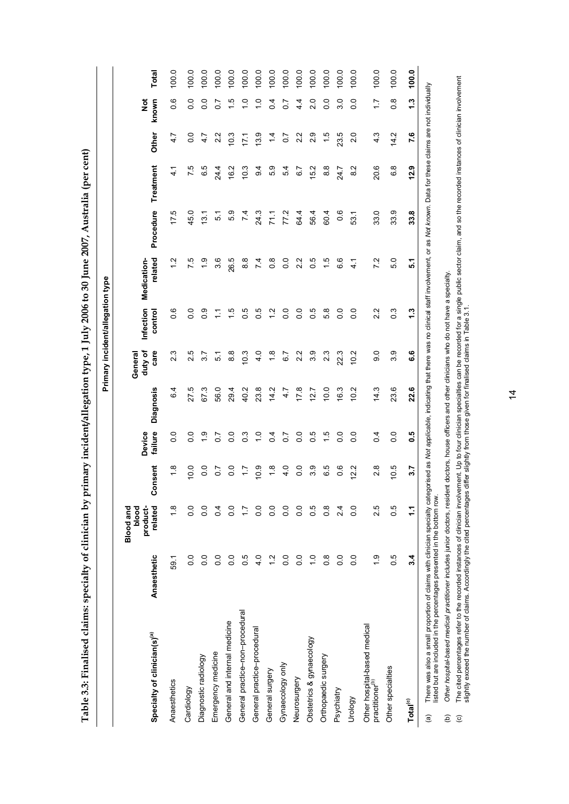| $\mathbf{\ddot{i}}$      |
|--------------------------|
| ţ                        |
|                          |
| <b>ACCO</b>              |
| !                        |
| יו<br>י                  |
|                          |
| $\ddot{\phantom{a}}$     |
| $\overline{\phantom{a}}$ |
| $\mathbf{I}$             |
| l                        |
| <b>11:45</b>             |
| )                        |
|                          |
|                          |
|                          |
| ;<br>;                   |
| $\vdots$                 |
| $\overline{a}$           |
|                          |
|                          |
|                          |
| <b>Ity</b> of clinic     |
|                          |
| l                        |
|                          |
|                          |
|                          |
| ֡֡֡֡֡֡֡֡                 |
|                          |
|                          |
|                          |

<span id="page-21-0"></span>

|                                                                                                                                                                                                                                           |                  |                                                  |                   |                   |                  |                            | Primary incident/allegation type |                        |                 |               |                  |                        |       |
|-------------------------------------------------------------------------------------------------------------------------------------------------------------------------------------------------------------------------------------------|------------------|--------------------------------------------------|-------------------|-------------------|------------------|----------------------------|----------------------------------|------------------------|-----------------|---------------|------------------|------------------------|-------|
| Specialty of clinician(s) <sup>(a)</sup>                                                                                                                                                                                                  | Anaesthetic      | product-<br>related<br><b>Blood and</b><br>blood | onsent<br>ပ       | failure<br>Device | <b>Diagnosis</b> | duty of<br>care<br>General | Infection<br>control             | related<br>Medication- | Procedure       | Treatment     | Other            | known<br>$\frac{5}{2}$ | Total |
| Anaesthetics                                                                                                                                                                                                                              | 59.1             | $\frac{8}{1}$                                    | $\frac{8}{1}$     | $\frac{0}{2}$     | 6.4              | 23                         | $\frac{6}{1}$                    | $\frac{2}{1}$          | 17.5            | $\frac{4}{1}$ | 4.7              | 0.6                    | 100.0 |
| Cardiology                                                                                                                                                                                                                                | 0.0              | 0.0                                              | 0.0               | $\overline{0}$ .  | 27.5             | 2.5                        | $\overline{0}$                   | 75                     | 45.0            | 7.5           | $\overline{0}$ . | $\overline{0}$         | 100.0 |
| Diagnostic radiology                                                                                                                                                                                                                      | $\overline{0}$ . | $\frac{0}{0}$                                    | 0.0               | $\frac{0}{1}$     | 67.3             | 3.7                        | 0.9                              | $\frac{0}{1}$          | 13.1            | 6.5           | 4.7              | $\overline{0}$         | 100.0 |
| Emergency medicine                                                                                                                                                                                                                        | $\overline{0}$ . | $\overline{0}$                                   | $\overline{0}$ .7 | $\overline{0}$ .  | 56.0             | 51                         | ᡓ                                | 3.6                    | 5.1             | 24.4          | 2.2              | $\overline{0}$         | 100.0 |
| General and internal medicine                                                                                                                                                                                                             | $\overline{0}$   | $\frac{0}{2}$                                    | $\overline{0}$ .  | $\overline{0}$ .  | 294              | $\frac{8}{8}$              | 1.5                              | 26.5                   | 5.9             | 16.2          | 10.3             | $\frac{5}{1}$          | 100.0 |
| General practice-non-procedural                                                                                                                                                                                                           | 0.5              | ⊵                                                | $\ddot{ }$ :      | $0.\overline{3}$  | 40.2             | 10.3                       | 0.5                              | $\frac{8}{8}$          | $\overline{74}$ | 10.3          | 17.1             | $\frac{1}{1}$          | 100.0 |
| General practice-procedural                                                                                                                                                                                                               | 4.0              | $\frac{0}{2}$                                    | 0.9               | $\frac{0}{\tau}$  | 23.8             | 4.0                        | 0.5                              | 7.4                    | 24.3            | $\frac{4}{9}$ | 13.9             | $\frac{0}{1}$          | 100.0 |
| General surgery                                                                                                                                                                                                                           | $\frac{2}{1}$    | $\overline{0}$                                   | $\frac{8}{1}$     | 0.4               | 14.2             | $\frac{8}{1}$              | $\frac{2}{1}$                    | $\frac{8}{2}$          | 71.1            | 5.9           | $\frac{4}{4}$    | 0.4                    | 100.0 |
| Gynaecology only                                                                                                                                                                                                                          | $\overline{0}$   | $\overline{0}$                                   | 4.0               | $\overline{0}$    | 4.7              | 67                         | $\overline{0}$                   | $\overline{0}$         | 77.2            | 54            | $\overline{0}$   | $\overline{0}$         | 100.0 |
| Neurosurgery                                                                                                                                                                                                                              | $\frac{0}{0}$    | $\frac{0}{0}$                                    | $\overline{0}$ .  | $\overline{0}$    | 17.8             | 2.2                        | $\overline{0}$                   | 2.2                    | 64.4            | 6.7           | 2.2              | $4\overline{4}$        | 100.0 |
| Obstetrics & gynaecology                                                                                                                                                                                                                  | $\frac{0}{1}$    | 0.5                                              | 3.9               | 0.5               | 12.7             | 3.9                        | 0.5                              | 0.5                    | 56.4            | 15.2          | 2.9              | $\frac{0}{2}$          | 100.0 |
| Orthopaedic surgery                                                                                                                                                                                                                       | $0.\overline{8}$ | $\frac{8}{2}$                                    | 6.5               | $\frac{5}{1}$     | 10.0             | 23                         | 5.8                              | 1.5                    | 60.4            | $\frac{8}{6}$ | 1.5              | $\frac{0}{2}$          | 100.0 |
| Psychiatry                                                                                                                                                                                                                                | 0.0              | $\frac{4}{3}$                                    | $\frac{6}{1}$     | $\overline{0}$ .  | 16.3             | 22.3                       | $\overline{0}$                   | 6.6                    | 0.6             | 24.7          | 23.5             | 3.0                    | 100.0 |
| Urology                                                                                                                                                                                                                                   | 0.0              | $\frac{0}{0}$                                    | 12.2              | $\overline{0}$    | 10.2             | 10.2                       | $\overline{0}$                   | $\frac{1}{4}$          | 53.1            | 8.2           | $\frac{0}{2}$    | $\frac{0}{2}$          | 100.0 |
| Other hospital-based medical<br>practitioner(b)                                                                                                                                                                                           | $\frac{6}{1}$    | 2.5                                              | $\frac{8}{2}$     | $\overline{a}$    | 14.3             | 0.6                        | 22                               | 7.2                    | 33.0            | 20.6          | 4.3              | $\frac{7}{7}$          | 100.0 |
| Other specialties                                                                                                                                                                                                                         | 0.5              | 0.5                                              | 10.5              | $\overline{0}$ .  | 23.6             | 3.9                        | $\frac{3}{2}$                    | 5.0                    | 33.9            | 6.8           | 14.2             | $\frac{8}{2}$          | 100.0 |
| $\mathsf{Tota}^{(c)}$                                                                                                                                                                                                                     | 3.4              | 11                                               | 3.7               | 0.5               | 22.6             | 6.6                        | 1.3                              | 51                     | 33.8            | 12.9          | 7.6              | 1.3                    | 100.0 |
| There was also a small proportion of claims with clinician specialty categorised as Not applicable, indicating that there was no clinical staff involvement, or as Not known. Data for these claims are not individually<br>$\widehat{a}$ |                  |                                                  |                   |                   |                  |                            |                                  |                        |                 |               |                  |                        |       |

listed but are included in the percentages presented in the bottom row. listed but are included in the percentages presented in the bottom row.

Other hospital-based medical practitioner includes junior doctors, resident doctors, house officers and other clinicians who do not have a specialty. (b) *Other hospital-based medical practitioner* includes junior doctors, resident doctors, house officers and other clinicians who do not have a specialty.  $\widehat{e}$   $\widehat{e}$ 

The cited percentages refer to the recorded instances of clinician involvement. Up to four clinician specialties can be recorded for a single public sector claim, and so the recorded instances of clinician involvement<br>slig (c) The cited percentages refer to the recorded instances of dinician involvement. Up to four clinician specialties can be recorded for a single public sector claim, and so the recorded instances of clinician involvement slightly exceed the number of claims. Accordingly the cited percentages differ slightly from those given for finalised claims in Table 3.1.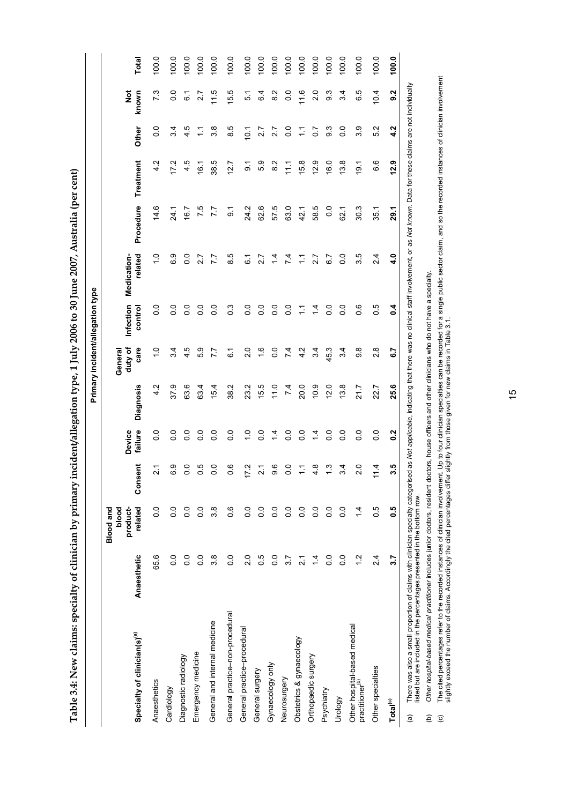<span id="page-22-0"></span>

|                                                                                                                                                                                                                                                 |                  |                                                  |                      |                   |                 |                            | Primary incident/allegation type |                        |                  |                  |                       |                        |       |
|-------------------------------------------------------------------------------------------------------------------------------------------------------------------------------------------------------------------------------------------------|------------------|--------------------------------------------------|----------------------|-------------------|-----------------|----------------------------|----------------------------------|------------------------|------------------|------------------|-----------------------|------------------------|-------|
| Specialty of clinician(s) <sup>(a)</sup>                                                                                                                                                                                                        | Anaesthetic      | related<br>blood<br>product-<br><b>Blood and</b> | Consent              | failure<br>Device | Diagnosis       | duty of<br>care<br>General | Infection<br>control             | related<br>Medication- | Procedure        | Treatment        | Other                 | $\frac{5}{2}$<br>known | Total |
| Anaesthetics                                                                                                                                                                                                                                    | 65.6             | 0.0                                              | $\overline{21}$      | $\overline{0}$    | Ņ<br>4.         | $\frac{0}{1}$              | $\overline{0}$                   | $\frac{1}{1}$          | 14.6             | 4.2              | $\overline{0}$        | 73                     | 100.0 |
| Cardiology                                                                                                                                                                                                                                      | $\overline{0}$ . | 0.0                                              | 6.9                  | $\overline{0}$    | 37.9            | 3.4                        | 0.0                              | 6.9                    | 24.1             | 17.2             | 3.4                   | $\frac{0}{2}$          | 100.0 |
| Diagnostic radiology                                                                                                                                                                                                                            | $\overline{0}$ . | 0.0                                              | 0.0                  | $\overline{0}$ .  | 63.6            | 4.5                        | $\overline{0}$ .                 | $\overline{0}$         | 16.7             | 4.5              | 4.5                   | 61                     | 100.0 |
| Emergency medicine                                                                                                                                                                                                                              | $\overline{0}$ . | $\overline{0}$ .                                 | 0.5                  | $\overline{0}$ .  | 63.4            | 5.9                        | $\frac{0}{0}$                    | 2.7                    | 7.5              | 16.1             | Ξ                     | 2.7                    | 100.0 |
| General and internal medicine                                                                                                                                                                                                                   | 3.8              | 3.8                                              | $\overline{0}$       | $\overline{0}$    | 15.4            | 7.7                        | $\frac{0}{0}$                    | 7.7                    | 7.7              | 38.5             | 3.8                   | 11.5                   | 100.0 |
| General practice-non-procedural                                                                                                                                                                                                                 | $\overline{0}$ . | 0.6                                              | 0.6                  | $\overline{0}$ .  | 38.2            | $\overline{6}$             | $0.\overline{3}$                 | 8.5                    | $\overline{9}$ . | 12.7             | 8.5                   | 15.5                   | 100.0 |
| General practice-procedural                                                                                                                                                                                                                     | 2.0              | $\overline{0}$ .                                 | 17.2                 | $\frac{0}{1}$     | 23.2            | $\frac{0}{2}$              | $\overline{0}$ .                 | $\tilde{6}$            | 24.2             | $\overline{9}$ . | 10.1                  | 5.1                    | 100.0 |
| General surgery                                                                                                                                                                                                                                 | 0.5              | 0.0                                              | $\overline{21}$      | 0.0               | 15.5            | $\frac{6}{1}$              | $\overline{0}$                   | 2.7                    | 62.6             | 5.9              | 2.7                   | 6.4                    | 100.0 |
| Gynaecology only                                                                                                                                                                                                                                | 0.0              | 0.0                                              | 9.6                  | $\frac{4}{4}$     | 11.0            | $\frac{0}{0}$              | $\overline{0}$                   | $\frac{4}{4}$          | 57.5             | 8.2              | 2.7                   | $\frac{2}{8}$          | 100.0 |
| Neurosurgery                                                                                                                                                                                                                                    | 3.7              | 0.0                                              | 0.0                  | $\overline{0}$    | $\overline{74}$ | 74                         | $\frac{0}{0}$                    | 74                     | 63.0             | $\frac{1}{11}$   | $\overline{0}$        | $\overline{0}$         | 100.0 |
| Obstetrics & gynaecology                                                                                                                                                                                                                        | $\tilde{c}$      | $\overline{0}$ .                                 | $\frac{1}{\sqrt{2}}$ | $\overline{0}$    | 20.0            | 4.2                        | $\tilde{\cdot}$                  | $\tilde{\cdot}$        | 42.1             | 15.8             | $\tilde{\mathcal{L}}$ | 11.6                   | 100.0 |
| Orthopaedic surgery                                                                                                                                                                                                                             | $\overline{4}$   | 0.0                                              | 4.8                  | $\frac{4}{4}$     | 0.9             | 3.4                        | $\overline{4}$                   | 2.7                    | 58.5             | 12.9             | 0.7                   | 2.0                    | 100.0 |
| Psychiatry                                                                                                                                                                                                                                      | 0.0              | $\overline{0}$ .                                 | $\frac{3}{1}$        | $\overline{0}$ .  | 12.0            | 45.3                       | $\frac{0}{0}$                    | 6.7                    | $\overline{0}$ . | 16.0             | ე<br>თ                | 9.3                    | 100.0 |
| Urology                                                                                                                                                                                                                                         | $\overline{0}$ . | 0.0                                              | 3.4                  | $\overline{0}$ .  | 13.8            | 3.4                        | $\frac{0}{0}$                    | $\frac{0}{0}$          | 62.1             | 13.8             | $\overline{0}$ .      | 3.4                    | 100.0 |
| Other hospital-based medical<br>practitioner <sup>(b)</sup>                                                                                                                                                                                     | $\frac{2}{1}$    | $\frac{1}{4}$                                    | 2.0                  | $\frac{0}{2}$     | 21.7            | 8.6                        | $\frac{6}{1}$                    | 3.5                    | 30.3             | $\overline{9}$ . | 3.9                   | 6.5                    | 100.0 |
| Other specialties                                                                                                                                                                                                                               | 2.4              | 0.5                                              | $1\overline{4}$      | $\overline{0}$    | 22.7            | $\frac{8}{2}$              | 0.5                              | 2.4                    | 35.1             | 6.6              | 5.2                   | 10.4                   | 100.0 |
| Total <sup>(c)</sup>                                                                                                                                                                                                                            | 3.7              | <b>9.5</b>                                       | 3.5                  | $\frac{2}{3}$     | 25.6            | 5.3                        | $\overline{a}$                   | $\ddot{ }$             | 29.1             | 12.9             | 4.2                   | 9.2                    | 100.0 |
| There was also a small proportion of claims with clinician specialty categorised as Mot applicable, indicable, indicating that there was no clinical staff involvement, or as Not known. Data for these claims are not individ<br>$\widehat{a}$ |                  |                                                  |                      |                   |                 |                            |                                  |                        |                  |                  |                       |                        |       |

**Table 3.4: New claims: specialty of clinician by primary incident/allegation type, 1 July 2006 to 30 June 2007, Australia (per cent)**  Table 3.4: New claims: specialty of clinician by primary incident/allegation type, 1 July 2006 to 30 June 2007, Australia (per cent) listed but are included in the percentages presented in the bottom row. listed but are included in the percentages presented in the bottom row.

(b) *Other hospital-based medical practitioner* includes junior doctors, resident doctors, house officers and other clinicians who do not have a specialty. Other hospital-based medical practitioner includes junior doctors, resident doctors, house officers and other clinicians who do not have a specialty.

The cited percentages refer to the recorded instances of clinician involvement. Up to four clinician specialties can be recorded for a single public sector claim, and so the recorded instances of clinician involvement<br>slig (c) The cited percentages refer to the recorded instances of dinician involvement. Up to four clinician specialties can be recorded for a single public sector claim, and so the recorded instances of clinician involvement slightly exceed the number of claims. Accordingly the cited percentages differ slightly from those given for new claims in Table 3.1.  $\widehat{\Theta}$   $\widehat{\Theta}$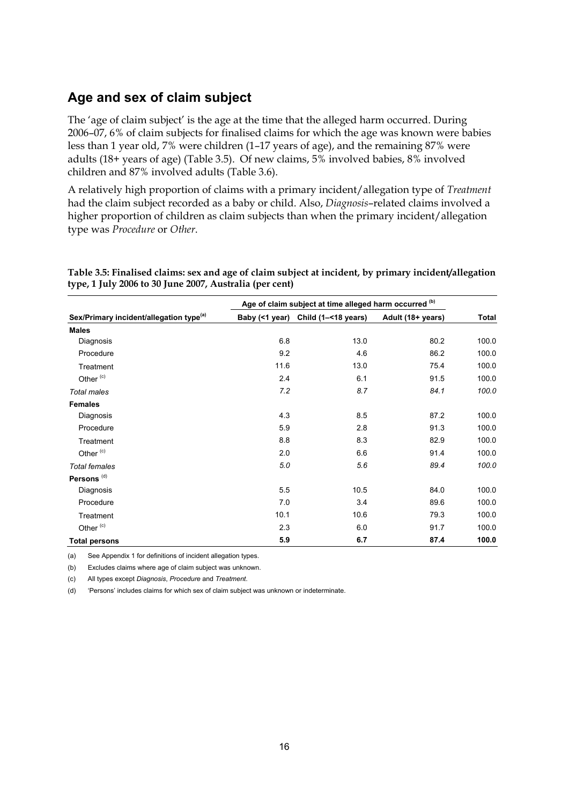### <span id="page-23-0"></span>**Age and sex of claim subject**

The 'age of claim subject' is the age at the time that the alleged harm occurred. During 2006–07, 6% of claim subjects for finalised claims for which the age was known were babies less than 1 year old, 7% were children (1–17 years of age), and the remaining 87% were adults (18+ years of age) (Table 3.5). Of new claims, 5% involved babies, 8% involved children and 87% involved adults (Table 3.6).

A relatively high proportion of claims with a primary incident/allegation type of *Treatment* had the claim subject recorded as a baby or child. Also, *Diagnosis*–related claims involved a higher proportion of children as claim subjects than when the primary incident/allegation type was *Procedure* or *Other*.

|                                                     |      | Age of claim subject at time alleged harm occurred (b) |                   |       |
|-----------------------------------------------------|------|--------------------------------------------------------|-------------------|-------|
| Sex/Primary incident/allegation type <sup>(a)</sup> |      | Baby (<1 year) Child (1-<18 years)                     | Adult (18+ years) | Total |
| <b>Males</b>                                        |      |                                                        |                   |       |
| Diagnosis                                           | 6.8  | 13.0                                                   | 80.2              | 100.0 |
| Procedure                                           | 9.2  | 4.6                                                    | 86.2              | 100.0 |
| Treatment                                           | 11.6 | 13.0                                                   | 75.4              | 100.0 |
| Other <sup>(c)</sup>                                | 2.4  | 6.1                                                    | 91.5              | 100.0 |
| Total males                                         | 7.2  | 8.7                                                    | 84.1              | 100.0 |
| <b>Females</b>                                      |      |                                                        |                   |       |
| Diagnosis                                           | 4.3  | 8.5                                                    | 87.2              | 100.0 |
| Procedure                                           | 5.9  | 2.8                                                    | 91.3              | 100.0 |
| Treatment                                           | 8.8  | 8.3                                                    | 82.9              | 100.0 |
| Other <sup>(c)</sup>                                | 2.0  | 6.6                                                    | 91.4              | 100.0 |
| <b>Total females</b>                                | 5.0  | 5.6                                                    | 89.4              | 100.0 |
| Persons <sup>(d)</sup>                              |      |                                                        |                   |       |
| Diagnosis                                           | 5.5  | 10.5                                                   | 84.0              | 100.0 |
| Procedure                                           | 7.0  | 3.4                                                    | 89.6              | 100.0 |
| Treatment                                           | 10.1 | 10.6                                                   | 79.3              | 100.0 |
| Other <sup>(c)</sup>                                | 2.3  | 6.0                                                    | 91.7              | 100.0 |
| <b>Total persons</b>                                | 5.9  | 6.7                                                    | 87.4              | 100.0 |

<span id="page-23-1"></span>**Table 3.5: Finalised claims: sex and age of claim subject at incident, by primary incident/allegation type, 1 July 2006 to 30 June 2007, Australia (per cent)** 

(a) See Appendix 1 for definitions of incident allegation types.

(b) Excludes claims where age of claim subject was unknown.

(c) All types except *Diagnosis*, *Procedure* and *Treatment*.

(d) 'Persons' includes claims for which sex of claim subject was unknown or indeterminate.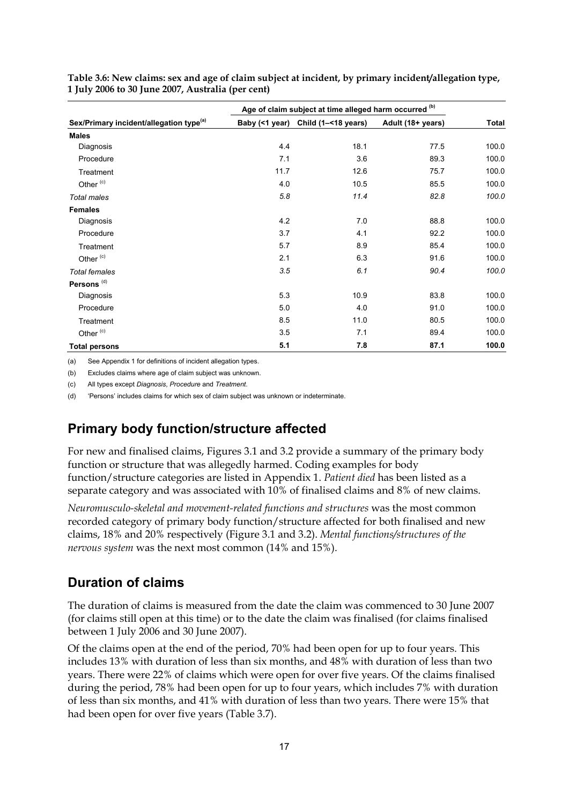|                                                     |      | Age of claim subject at time alleged harm occurred (b) |                   |       |
|-----------------------------------------------------|------|--------------------------------------------------------|-------------------|-------|
| Sex/Primary incident/allegation type <sup>(a)</sup> |      | Baby (<1 year) Child (1-<18 years)                     | Adult (18+ years) | Total |
| <b>Males</b>                                        |      |                                                        |                   |       |
| Diagnosis                                           | 4.4  | 18.1                                                   | 77.5              | 100.0 |
| Procedure                                           | 7.1  | 3.6                                                    | 89.3              | 100.0 |
| Treatment                                           | 11.7 | 12.6                                                   | 75.7              | 100.0 |
| Other <sup>(c)</sup>                                | 4.0  | 10.5                                                   | 85.5              | 100.0 |
| Total males                                         | 5.8  | 11.4                                                   | 82.8              | 100.0 |
| <b>Females</b>                                      |      |                                                        |                   |       |
| Diagnosis                                           | 4.2  | 7.0                                                    | 88.8              | 100.0 |
| Procedure                                           | 3.7  | 4.1                                                    | 92.2              | 100.0 |
| Treatment                                           | 5.7  | 8.9                                                    | 85.4              | 100.0 |
| Other <sup>(c)</sup>                                | 2.1  | 6.3                                                    | 91.6              | 100.0 |
| <b>Total females</b>                                | 3.5  | 6.1                                                    | 90.4              | 100.0 |
| Persons <sup>(d)</sup>                              |      |                                                        |                   |       |
| Diagnosis                                           | 5.3  | 10.9                                                   | 83.8              | 100.0 |
| Procedure                                           | 5.0  | 4.0                                                    | 91.0              | 100.0 |
| Treatment                                           | 8.5  | 11.0                                                   | 80.5              | 100.0 |
| Other <sup>(c)</sup>                                | 3.5  | 7.1                                                    | 89.4              | 100.0 |
| <b>Total persons</b>                                | 5.1  | 7.8                                                    | 87.1              | 100.0 |

<span id="page-24-2"></span>**Table 3.6: New claims: sex and age of claim subject at incident, by primary incident/allegation type, 1 July 2006 to 30 June 2007, Australia (per cent)** 

(a) See Appendix 1 for definitions of incident allegation types.

(b) Excludes claims where age of claim subject was unknown.

(c) All types except *Diagnosis*, *Procedure* and *Treatment*.

(d) 'Persons' includes claims for which sex of claim subject was unknown or indeterminate.

### <span id="page-24-0"></span>**Primary body function/structure affected**

For new and finalised claims, Figures 3.1 and 3.2 provide a summary of the primary body function or structure that was allegedly harmed. Coding examples for body function/structure categories are listed in Appendix 1. *Patient died* has been listed as a separate category and was associated with 10% of finalised claims and 8% of new claims.

*Neuromusculo-skeletal and movement-related functions and structures* was the most common recorded category of primary body function/structure affected for both finalised and new claims, 18% and 20% respectively (Figure 3.1 and 3.2). *Mental functions/structures of the nervous system* was the next most common (14% and 15%).

### <span id="page-24-1"></span>**Duration of claims**

The duration of claims is measured from the date the claim was commenced to 30 June 2007 (for claims still open at this time) or to the date the claim was finalised (for claims finalised between 1 July 2006 and 30 June 2007).

Of the claims open at the end of the period, 70% had been open for up to four years. This includes 13% with duration of less than six months, and 48% with duration of less than two years. There were 22% of claims which were open for over five years. Of the claims finalised during the period, 78% had been open for up to four years, which includes 7% with duration of less than six months, and 41% with duration of less than two years. There were 15% that had been open for over five years (Table 3.7).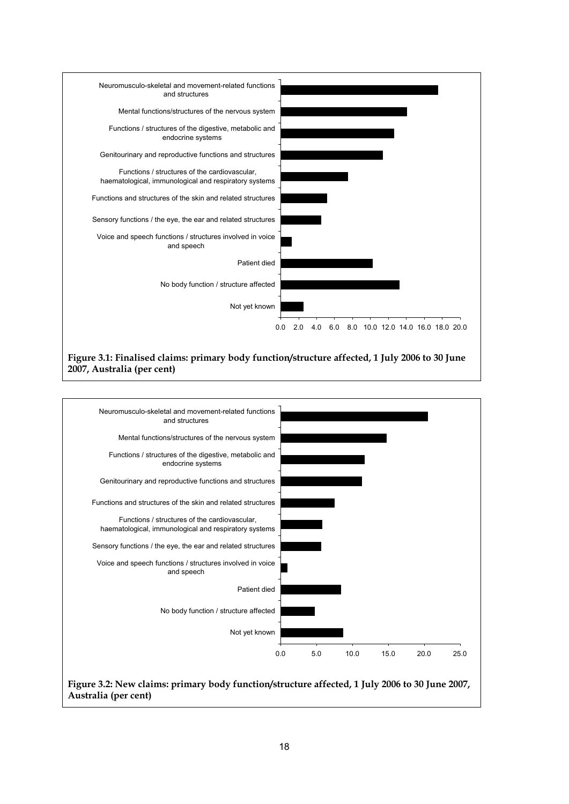

#### **Figure 3.1: Finalised claims: primary body function/structure affected, 1 July 2006 to 30 June 2007, Australia (per cent)**

<span id="page-25-1"></span><span id="page-25-0"></span>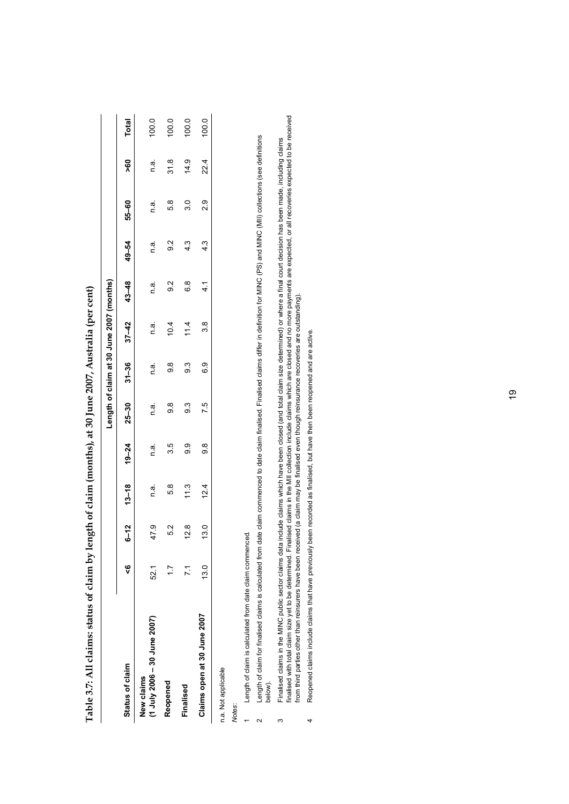<span id="page-26-0"></span>

|                                            |      |      |                    |           |           | Length of claim at 30 June 2007 (months) |      |               |               |               |           |              |
|--------------------------------------------|------|------|--------------------|-----------|-----------|------------------------------------------|------|---------------|---------------|---------------|-----------|--------------|
| Status of claim                            | ų    |      | $6 - 12$ $13 - 18$ | $19 - 24$ | $25 - 30$ | $31 - 36$ $37 - 42$                      |      | $43 - 48$     | $49 - 54$     | 55-60         | <b>98</b> | <b>Total</b> |
| (1 July 2006 - 30 June 2007)<br>New claims | 521  | 47.9 | n a.               | n a.      | n a.      | n a                                      | n a  | n.a.          | n a.          | n a.          | n.a.      | 100.0        |
| Reopened                                   |      | 52   | 5.8                | 35        | 9.8       | $\frac{8}{9}$                            | 10.4 | $\frac{2}{9}$ | $\frac{2}{9}$ | 5.8           | 31.8      | 100.0        |
| Finalised                                  |      | 12.8 | $\frac{3}{1}$      | တ္ပ       | ာ         | က္ပ                                      | 114  | 8<br>0        | 4.3           | ი<br>თ        | 14.9      | 100.0        |
| Claims open at 30 June 2007                | 13.0 | 13.0 | 12.4               | 8.6       | 75        | ဝ<br>ဝ                                   | 3.8  | $\frac{4}{1}$ | 4.3           | $\frac{0}{2}$ | 22.4      | 100.0        |
| n.a. Not applicable                        |      |      |                    |           |           |                                          |      |               |               |               |           |              |

Table 3.7: All claims; status of claim by length of claim (months), at 30 June 2007. Australia (per cent) **Table 3.7: All claims: status of claim by length of claim (months), at 30 June 2007, Australia (per cent)** 

*Notes*:

Length of claim is calculated from date claim commenced. 1 Length of claim is calculated from date claim commenced.  $\ddot{\phantom{0}}$ 

- Length of claim for finalised claims is calculated from date claim commenced to date claim finalised claims differ in definition for MINC (PS) and MINC (MII) collections (see definitions 2 Length of claim for finalised claims is calculated from date claim commenced to date claim finalised. Finalised claims differ in definition for MINC (PS) and MINC (MII) collections (see definitions below).  $\sim$
- Finalised claims in the MINC public sector claims data include claims which have been closed (and total claim size determined) or where a final court decision has been made, including claims<br>finalised with total claim size finalised with total claim size yet to be determined. Finalised claims in the MII collection include claims which are closed and no more payments are expected, or all recoveries expected to be received 3 Finalised claims in the MINC public sector claims data include claims which have been closed (and total claim size determined) or where a final court decision has been made, including claims from third parties other than reinsurers have been received (a claim may be finalised even though reinsurance recoveries are outstanding). from third parties other than reinsurers have been received (a claim may be finalised even though reinsurance recoveries are outstanding).  $\infty$
- Reopened claims include claims that have previously been recorded as finalised, but have then been reopened and are active. 4 Reopened claims include claims that have previously been recorded as finalised, but have then been reopened and are active.  $\downarrow$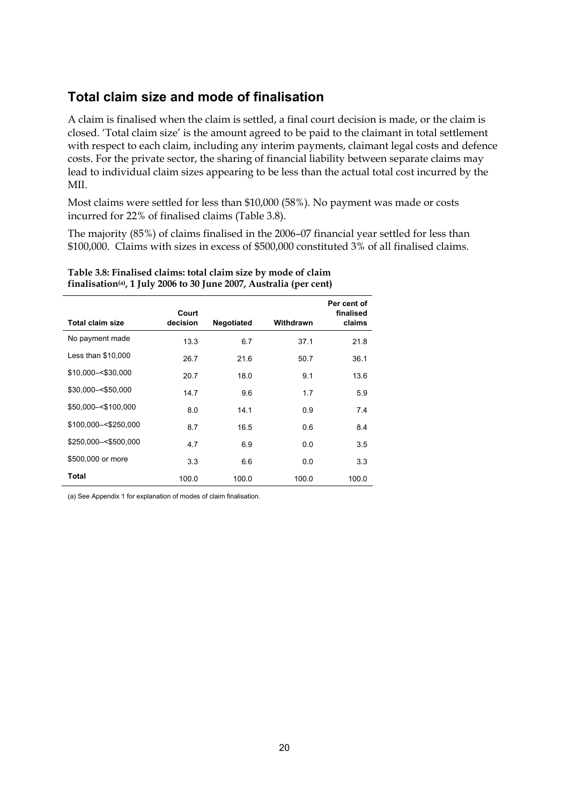### <span id="page-27-0"></span>**Total claim size and mode of finalisation**

A claim is finalised when the claim is settled, a final court decision is made, or the claim is closed. 'Total claim size' is the amount agreed to be paid to the claimant in total settlement with respect to each claim, including any interim payments, claimant legal costs and defence costs. For the private sector, the sharing of financial liability between separate claims may lead to individual claim sizes appearing to be less than the actual total cost incurred by the MII.

Most claims were settled for less than \$10,000 (58%). No payment was made or costs incurred for 22% of finalised claims (Table 3.8).

The majority (85%) of claims finalised in the 2006–07 financial year settled for less than \$100,000. Claims with sizes in excess of \$500,000 constituted 3% of all finalised claims.

| <b>Total claim size</b> | Court<br>decision | Negotiated | Withdrawn | Per cent of<br>finalised<br>claims |
|-------------------------|-------------------|------------|-----------|------------------------------------|
| No payment made         | 13.3              | 6.7        | 37.1      | 21.8                               |
| Less than \$10,000      | 26.7              | 21.6       | 50.7      | 36.1                               |
| \$10,000 - < \$30,000   | 20.7              | 18.0       | 9.1       | 13.6                               |
| \$30,000 - < \$50,000   | 14.7              | 9.6        | 1.7       | 5.9                                |
| \$50,000 -< \$100,000   | 8.0               | 14.1       | 0.9       | 7.4                                |
| \$100,000 -< \$250,000  | 8.7               | 16.5       | 0.6       | 8.4                                |
| \$250,000 -< \$500,000  | 4.7               | 6.9        | 0.0       | 3.5                                |
| \$500,000 or more       | 3.3               | 6.6        | 0.0       | 3.3                                |
| Total                   | 100.0             | 100.0      | 100.0     | 100.0                              |

#### <span id="page-27-1"></span>**Table 3.8: Finalised claims: total claim size by mode of claim finalisation(a), 1 July 2006 to 30 June 2007, Australia (per cent)**

(a) See Appendix 1 for explanation of modes of claim finalisation.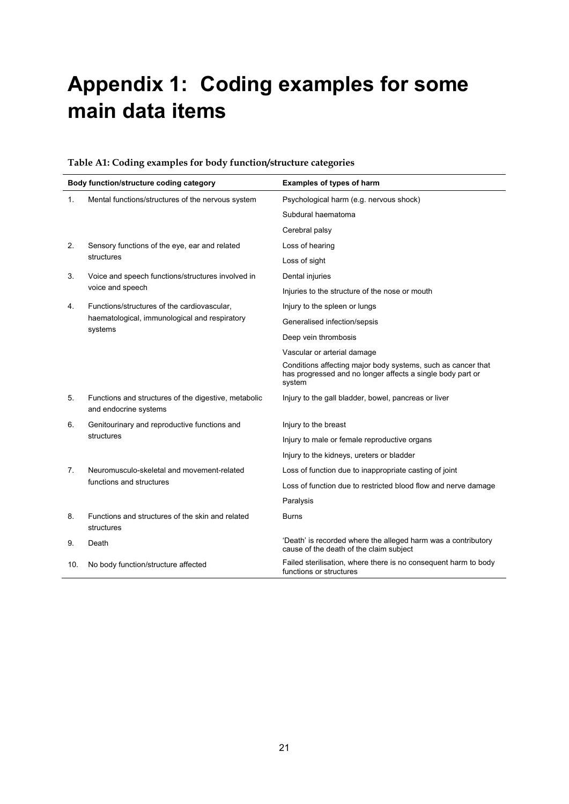# <span id="page-28-0"></span>**Appendix 1: Coding examples for some main data items**

#### **Table A1: Coding examples for body function/structure categories**

<span id="page-28-1"></span>

|     | Body function/structure coding category                                       | <b>Examples of types of harm</b>                                                                                                     |
|-----|-------------------------------------------------------------------------------|--------------------------------------------------------------------------------------------------------------------------------------|
| 1.  | Mental functions/structures of the nervous system                             | Psychological harm (e.g. nervous shock)                                                                                              |
|     |                                                                               | Subdural haematoma                                                                                                                   |
|     |                                                                               | Cerebral palsy                                                                                                                       |
| 2.  | Sensory functions of the eye, ear and related                                 | Loss of hearing                                                                                                                      |
|     | structures                                                                    | Loss of sight                                                                                                                        |
| 3.  | Voice and speech functions/structures involved in                             | Dental injuries                                                                                                                      |
|     | voice and speech                                                              | Injuries to the structure of the nose or mouth                                                                                       |
| 4.  | Functions/structures of the cardiovascular,                                   | Injury to the spleen or lungs                                                                                                        |
|     | haematological, immunological and respiratory<br>systems                      | Generalised infection/sepsis                                                                                                         |
|     |                                                                               | Deep vein thrombosis                                                                                                                 |
|     |                                                                               | Vascular or arterial damage                                                                                                          |
|     |                                                                               | Conditions affecting major body systems, such as cancer that<br>has progressed and no longer affects a single body part or<br>system |
| 5.  | Functions and structures of the digestive, metabolic<br>and endocrine systems | Injury to the gall bladder, bowel, pancreas or liver                                                                                 |
| 6.  | Genitourinary and reproductive functions and                                  | Injury to the breast                                                                                                                 |
|     | structures                                                                    | Injury to male or female reproductive organs                                                                                         |
|     |                                                                               | Injury to the kidneys, ureters or bladder                                                                                            |
| 7.  | Neuromusculo-skeletal and movement-related                                    | Loss of function due to inappropriate casting of joint                                                                               |
|     | functions and structures                                                      | Loss of function due to restricted blood flow and nerve damage                                                                       |
|     |                                                                               | Paralysis                                                                                                                            |
| 8.  | Functions and structures of the skin and related<br>structures                | <b>Burns</b>                                                                                                                         |
| 9.  | Death                                                                         | 'Death' is recorded where the alleged harm was a contributory<br>cause of the death of the claim subject                             |
| 10. | No body function/structure affected                                           | Failed sterilisation, where there is no consequent harm to body<br>functions or structures                                           |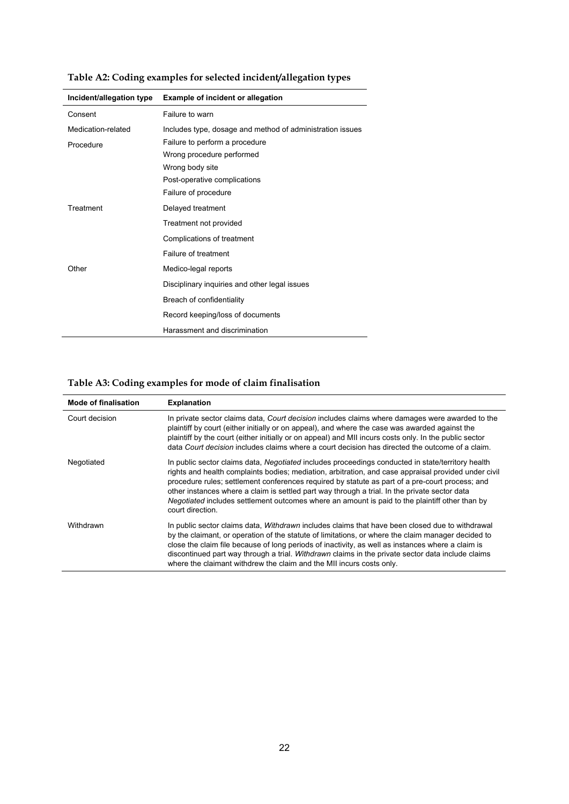<span id="page-29-0"></span>

| Incident/allegation type | <b>Example of incident or allegation</b>                  |
|--------------------------|-----------------------------------------------------------|
| Consent                  | Failure to warn                                           |
| Medication-related       | Includes type, dosage and method of administration issues |
| Procedure                | Failure to perform a procedure                            |
|                          | Wrong procedure performed                                 |
|                          | Wrong body site                                           |
|                          | Post-operative complications                              |
|                          | Failure of procedure                                      |
| Treatment                | Delayed treatment                                         |
|                          | Treatment not provided                                    |
|                          | Complications of treatment                                |
|                          | Failure of treatment                                      |
| Other                    | Medico-legal reports                                      |
|                          | Disciplinary inquiries and other legal issues             |
|                          | Breach of confidentiality                                 |
|                          | Record keeping/loss of documents                          |
|                          | Harassment and discrimination                             |

**Table A2: Coding examples for selected incident/allegation types** 

### **Table A3: Coding examples for mode of claim finalisation**

<span id="page-29-1"></span>

| <b>Mode of finalisation</b> | <b>Explanation</b>                                                                                                                                                                                                                                                                                                                                                                                                                                                                                                                  |
|-----------------------------|-------------------------------------------------------------------------------------------------------------------------------------------------------------------------------------------------------------------------------------------------------------------------------------------------------------------------------------------------------------------------------------------------------------------------------------------------------------------------------------------------------------------------------------|
| Court decision              | In private sector claims data, Court decision includes claims where damages were awarded to the<br>plaintiff by court (either initially or on appeal), and where the case was awarded against the<br>plaintiff by the court (either initially or on appeal) and MII incurs costs only. In the public sector<br>data Court decision includes claims where a court decision has directed the outcome of a claim.                                                                                                                      |
| Negotiated                  | In public sector claims data, Negotiated includes proceedings conducted in state/territory health<br>rights and health complaints bodies; mediation, arbitration, and case appraisal provided under civil<br>procedure rules; settlement conferences required by statute as part of a pre-court process; and<br>other instances where a claim is settled part way through a trial. In the private sector data<br>Negotiated includes settlement outcomes where an amount is paid to the plaintiff other than by<br>court direction. |
| Withdrawn                   | In public sector claims data, <i>Withdrawn</i> includes claims that have been closed due to withdrawal<br>by the claimant, or operation of the statute of limitations, or where the claim manager decided to<br>close the claim file because of long periods of inactivity, as well as instances where a claim is<br>discontinued part way through a trial. Withdrawn claims in the private sector data include claims<br>where the claimant withdrew the claim and the MII incurs costs only.                                      |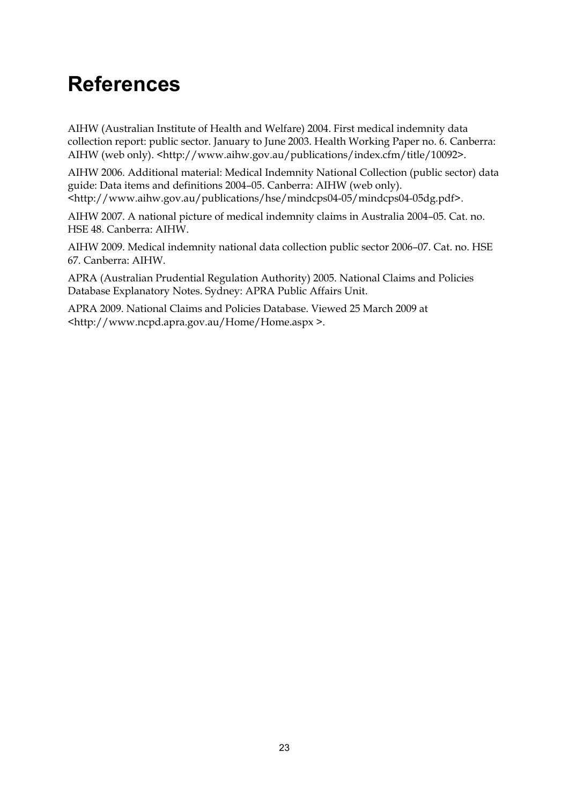## <span id="page-30-0"></span>**References**

AIHW (Australian Institute of Health and Welfare) 2004. First medical indemnity data collection report: public sector. January to June 2003. Health Working Paper no. 6. Canberra: AIHW (web only). <http://www.aihw.gov.au/publications/index.cfm/title/10092>.

AIHW 2006. Additional material: Medical Indemnity National Collection (public sector) data guide: Data items and definitions 2004–05. Canberra: AIHW (web only). <http://www.aihw.gov.au/publications/hse/mindcps04-05/mindcps04-05dg.pdf>.

AIHW 2007. A national picture of medical indemnity claims in Australia 2004–05. Cat. no. HSE 48. Canberra: AIHW.

AIHW 2009. Medical indemnity national data collection public sector 2006–07. Cat. no. HSE 67. Canberra: AIHW.

APRA (Australian Prudential Regulation Authority) 2005. National Claims and Policies Database Explanatory Notes. Sydney: APRA Public Affairs Unit.

APRA 2009. National Claims and Policies Database. Viewed 25 March 2009 at <http://www.ncpd.apra.gov.au/Home/Home.aspx >.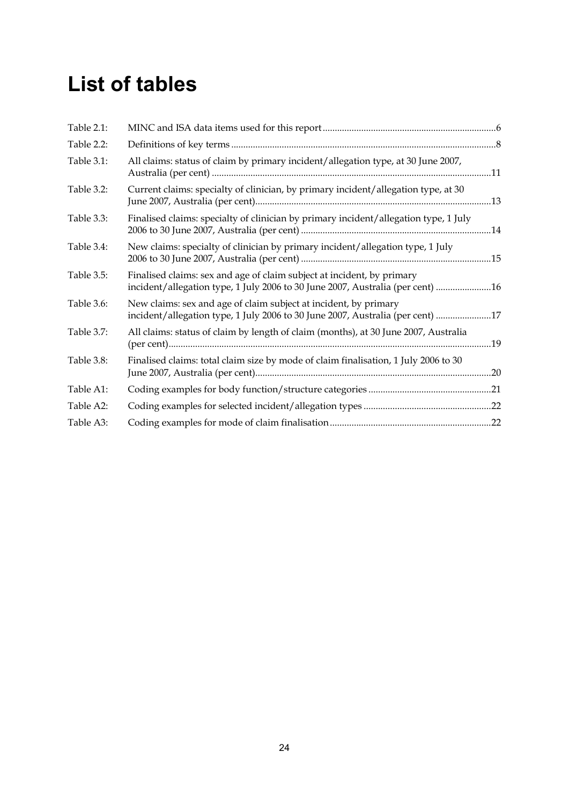## <span id="page-31-0"></span>**List of tables**

| Table 2.1: |                                                                                                                                                          |     |
|------------|----------------------------------------------------------------------------------------------------------------------------------------------------------|-----|
| Table 2.2: |                                                                                                                                                          |     |
| Table 3.1: | All claims: status of claim by primary incident/allegation type, at 30 June 2007,                                                                        |     |
| Table 3.2: | Current claims: specialty of clinician, by primary incident/allegation type, at 30                                                                       |     |
| Table 3.3: | Finalised claims: specialty of clinician by primary incident/allegation type, 1 July                                                                     |     |
| Table 3.4: | New claims: specialty of clinician by primary incident/allegation type, 1 July                                                                           |     |
| Table 3.5: | Finalised claims: sex and age of claim subject at incident, by primary<br>incident/allegation type, 1 July 2006 to 30 June 2007, Australia (per cent) 16 |     |
| Table 3.6: | New claims: sex and age of claim subject at incident, by primary<br>incident/allegation type, 1 July 2006 to 30 June 2007, Australia (per cent) 17       |     |
| Table 3.7: | All claims: status of claim by length of claim (months), at 30 June 2007, Australia                                                                      | .19 |
| Table 3.8: | Finalised claims: total claim size by mode of claim finalisation, 1 July 2006 to 30                                                                      |     |
| Table A1:  |                                                                                                                                                          |     |
| Table A2:  |                                                                                                                                                          |     |
| Table A3:  |                                                                                                                                                          |     |
|            |                                                                                                                                                          |     |